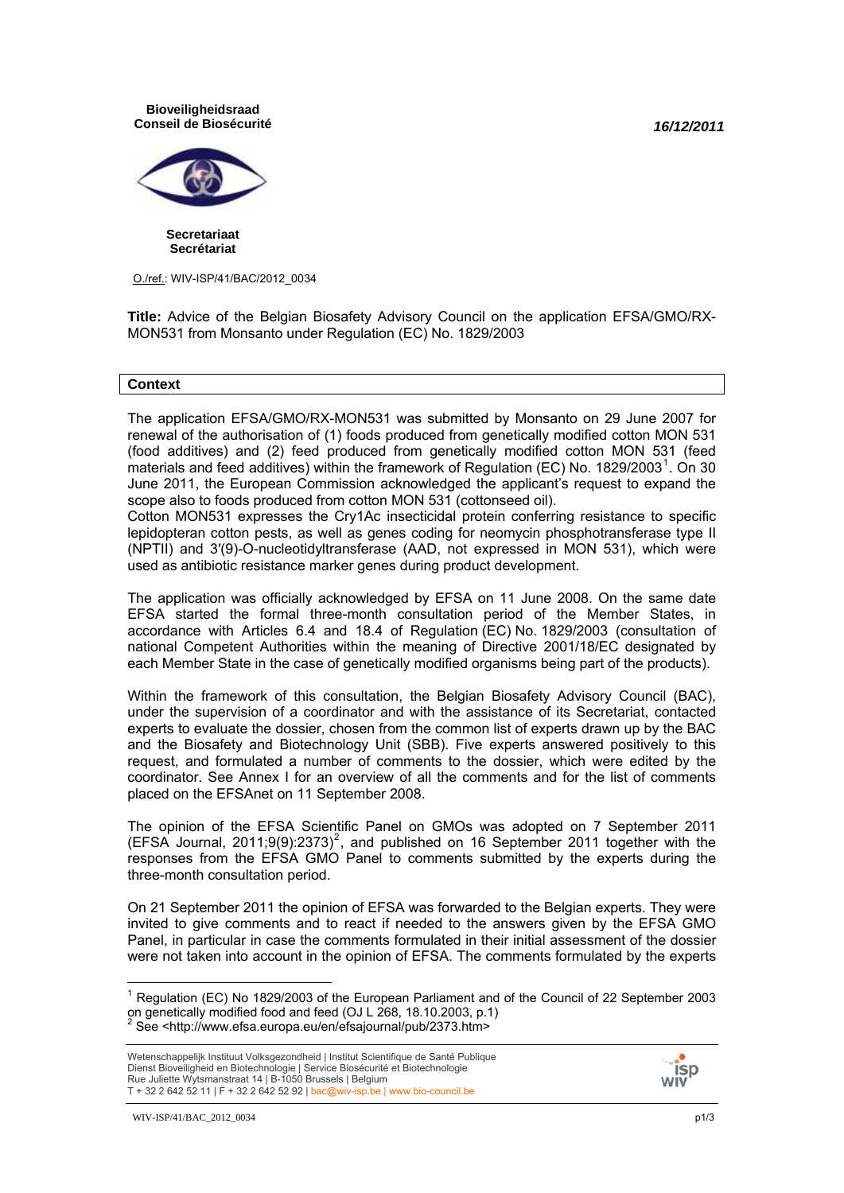*16/12/2011*

**Bioveiligheidsraad Conseil de Biosécurité**



**Secretariaat Secrétariat**

O./ref.: WIV-ISP/41/BAC/2012\_0034

**Title:** Advice of the Belgian Biosafety Advisory Council on the application EFSA/GMO/RX-MON531 from Monsanto under Regulation (EC) No. 1829/2003

### **Context**

The application EFSA/GMO/RX-MON531 was submitted by Monsanto on 29 June 2007 for renewal of the authorisation of (1) foods produced from genetically modified cotton MON 531 (food additives) and (2) feed produced from genetically modified cotton MON 531 (feed materials and feed additives) within the framework of Regulation (EC) No. [1](#page-0-0)829/2003<sup>1</sup>. On 30 June 2011, the European Commission acknowledged the applicant's request to expand the scope also to foods produced from cotton MON 531 (cottonseed oil).

Cotton MON531 expresses the Cry1Ac insecticidal protein conferring resistance to specific lepidopteran cotton pests, as well as genes coding for neomycin phosphotransferase type II (NPTII) and 3′(9)-O-nucleotidyltransferase (AAD, not expressed in MON 531), which were used as antibiotic resistance marker genes during product development.

The application was officially acknowledged by EFSA on 11 June 2008. On the same date EFSA started the formal three-month consultation period of the Member States, in accordance with Articles 6.4 and 18.4 of Regulation (EC) No. 1829/2003 (consultation of national Competent Authorities within the meaning of Directive 2001/18/EC designated by each Member State in the case of genetically modified organisms being part of the products).

Within the framework of this consultation, the Belgian Biosafety Advisory Council (BAC), under the supervision of a coordinator and with the assistance of its Secretariat, contacted experts to evaluate the dossier, chosen from the common list of experts drawn up by the BAC and the Biosafety and Biotechnology Unit (SBB). Five experts answered positively to this request, and formulated a number of comments to the dossier, which were edited by the coordinator. See Annex I for an overview of all the comments and for the list of comments placed on the EFSAnet on 11 September 2008.

The opinion of the EFSA Scientific Panel on GMOs was adopted on 7 September 2011  $(EFSA$  Journal, [2](#page-0-1)011;9(9):2373)<sup>2</sup>, and published on 16 September 2011 together with the responses from the EFSA GMO Panel to comments submitted by the experts during the three-month consultation period.

On 21 September 2011 the opinion of EFSA was forwarded to the Belgian experts. They were invited to give comments and to react if needed to the answers given by the EFSA GMO Panel, in particular in case the comments formulated in their initial assessment of the dossier were not taken into account in the opinion of EFSA. The comments formulated by the experts



<span id="page-0-1"></span><span id="page-0-0"></span> 1 Regulation (EC) No 1829/2003 of the European Parliament and of the Council of 22 September 2003 on genetically modified food and feed (OJ L 268, 18.10.2003, p.1)<br><sup>2</sup> See <http://www.efsa.europa.eu/en/efsajournal/pub/2373.htm>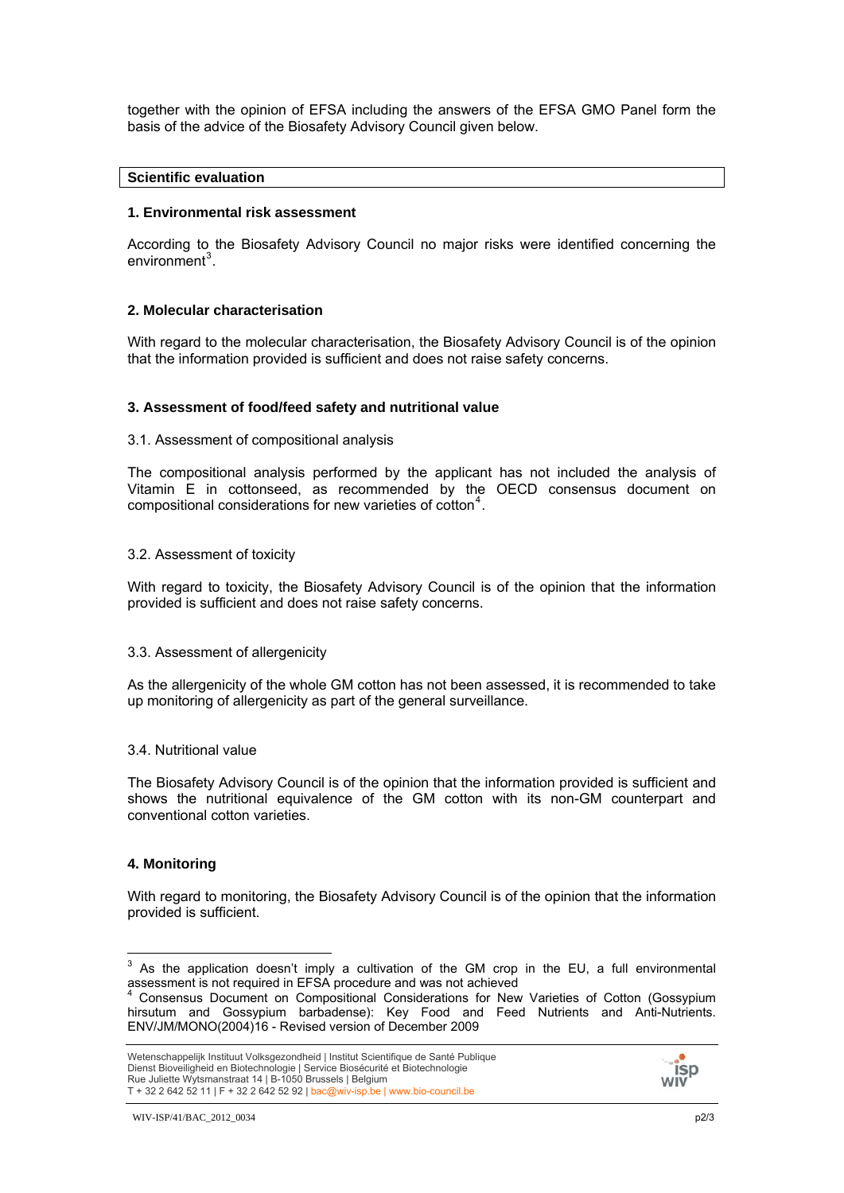together with the opinion of EFSA including the answers of the EFSA GMO Panel form the basis of the advice of the Biosafety Advisory Council given below.

## **Scientific evaluation**

### **1. Environmental risk assessment**

According to the Biosafety Advisory Council no major risks were identified concerning the  $environment<sup>3</sup>$  $environment<sup>3</sup>$  $environment<sup>3</sup>$ .

## **2. Molecular characterisation**

With regard to the molecular characterisation, the Biosafety Advisory Council is of the opinion that the information provided is sufficient and does not raise safety concerns.

### **3. Assessment of food/feed safety and nutritional value**

### 3.1. Assessment of compositional analysis

The compositional analysis performed by the applicant has not included the analysis of Vitamin E in cottonseed, as recommended by the OECD consensus document on compositional considerations for new varieties of cotton<sup>[4](#page-1-1)</sup>.

### 3.2. Assessment of toxicity

With regard to toxicity, the Biosafety Advisory Council is of the opinion that the information provided is sufficient and does not raise safety concerns.

### 3.3. Assessment of allergenicity

As the allergenicity of the whole GM cotton has not been assessed, it is recommended to take up monitoring of allergenicity as part of the general surveillance.

### 3.4. Nutritional value

The Biosafety Advisory Council is of the opinion that the information provided is sufficient and shows the nutritional equivalence of the GM cotton with its non-GM counterpart and conventional cotton varieties.

## **4. Monitoring**

With regard to monitoring, the Biosafety Advisory Council is of the opinion that the information provided is sufficient.



<span id="page-1-0"></span>THE THE TREAD TREAD TREAD TREAD TREAD TREAD TREAD TREAD TREAD TREAD TREAD TREAD TREAD TREAD TREAD TREAD TREAD TR<br>TREAD TREAD TREAD TREAD TREAD TREAD TREAD TREAD TREAD TREAD TREAD TREAD TREAD TREAD TREAD TREAD TREAD TREAD T assessment is not required in EFSA procedure and was not achieved 4

<span id="page-1-1"></span>Consensus Document on Compositional Considerations for New Varieties of Cotton (Gossypium hirsutum and Gossypium barbadense): Key Food and Feed Nutrients and Anti-Nutrients. ENV/JM/MONO(2004)16 - Revised version of December 2009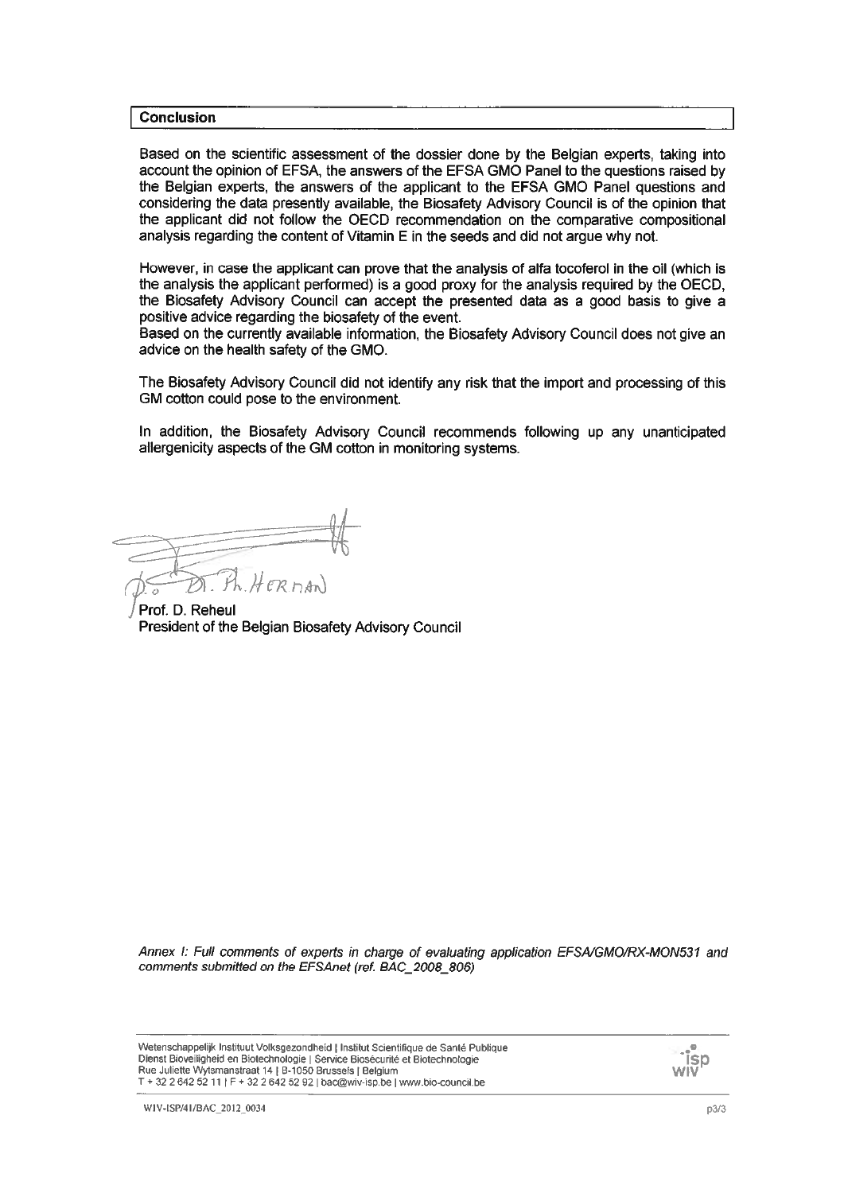### **Conclusion**

Based on the scientific assessment of the dossier done by the Belgian experts, taking into account the opinion of EFSA, the answers of the EFSA GMO Panel to the questions raised by the Belgian experts, the answers of the applicant to the EFSA GMO Panel questions and considering the data presently available, the Biosafety Advisory Council is of the opinion that the applicant did not follow the OECD recommendation on the comparative compositional analysis regarding the content of Vitamin E in the seeds and did not argue why not.

However, in case the applicant can prove that the analysis of alfa tocoferol in the oil (which is the analysis the applicant performed) is a good proxy for the analysis required by the OECD, the Biosafety Advisory Council can accept the presented data as a good basis to give a positive advice regarding the biosafety of the event.

Based on the currently available information, the Biosafety Advisory Council does not give an advice on the health safety of the GMO.

The Biosafety Advisory Council did not identify any risk that the import and processing of this GM cotton could pose to the environment.

In addition, the Biosafety Advisory Council recommends following up any unanticipated allergenicity aspects of the GM cotton in monitoring systems.

 $H$ ER $n$ An)

Prof. D. Reheul President of the Belgian Biosafety Advisory Council

Annex I: Full comments of experts in charge of evaluating application EFSA/GMO/RX-MON531 and comments submitted on the EFSAnet (ref. BAC\_2008\_806)

| Wetenschappelijk Instituut Volksgezondheid   Institut Scientifique de Santé Publique<br>Dienst Bioveiligheid en Biotechnologie   Service Biosécurité et Biotechnologie<br>Rue Juliette Wytsmanstraat 14   B-1050 Brussels   Belgium<br>T + 32 2 642 52 11   F + 32 2 642 52 92   bac@wiv-isp.be   www.bio-council.be | ୍ୟ <sub>ା</sub> ଳ<br>ISD<br><b>WIV</b> |
|----------------------------------------------------------------------------------------------------------------------------------------------------------------------------------------------------------------------------------------------------------------------------------------------------------------------|----------------------------------------|
|----------------------------------------------------------------------------------------------------------------------------------------------------------------------------------------------------------------------------------------------------------------------------------------------------------------------|----------------------------------------|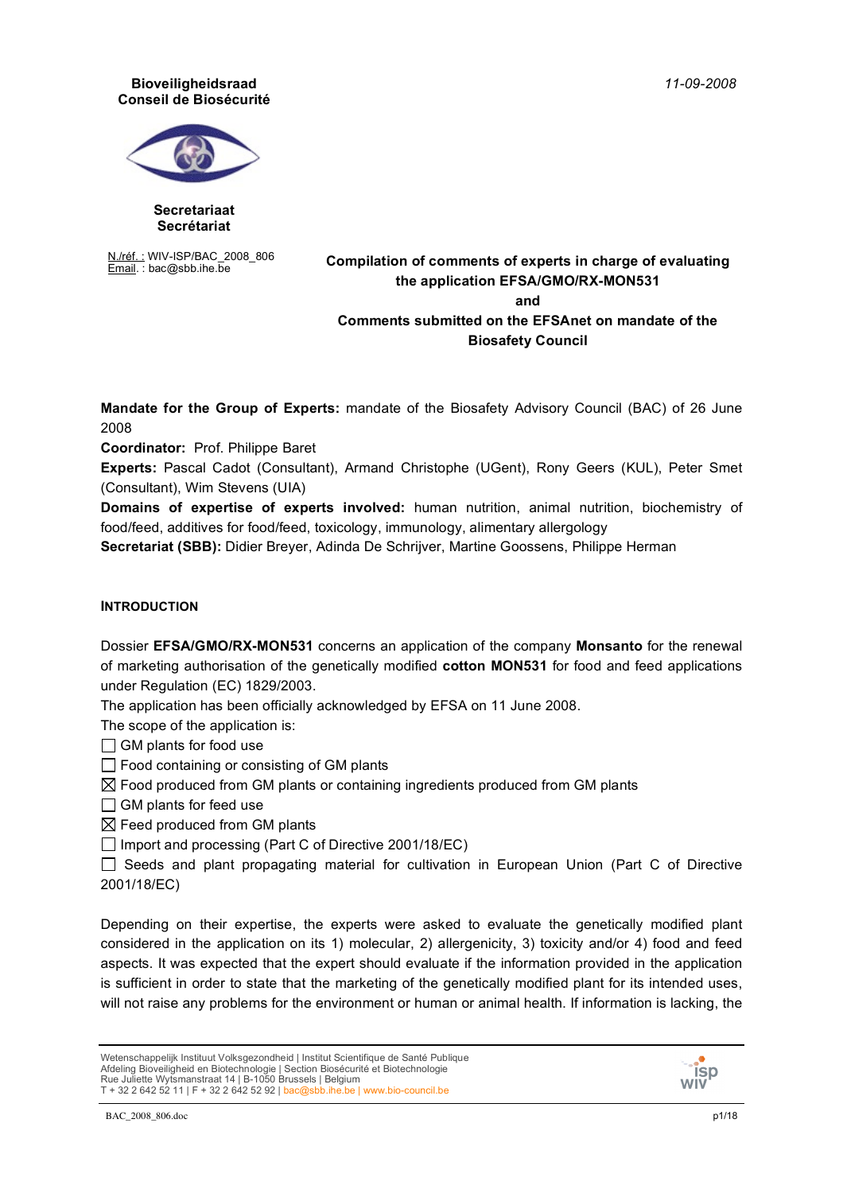*11-09-2008*

### **Bioveiligheidsraad Conseil de Biosécurité**



#### **Secretariaat Secrétariat**

N./réf. : WIV-ISP/BAC\_2008\_806

# Email. : bac@sbb.ihe.be **Compilation of comments of experts in charge of evaluating the application EFSA/GMO/RX-MON531 and Comments submitted on the EFSAnet on mandate of the Biosafety Council**

**Mandate for the Group of Experts:** mandate of the Biosafety Advisory Council (BAC) of 26 June 2008

**Coordinator:** Prof. Philippe Baret

**Experts:** Pascal Cadot (Consultant), Armand Christophe (UGent), Rony Geers (KUL), Peter Smet (Consultant), Wim Stevens (UIA)

**Domains of expertise of experts involved:** human nutrition, animal nutrition, biochemistry of food/feed, additives for food/feed, toxicology, immunology, alimentary allergology

**Secretariat (SBB):** Didier Breyer, Adinda De Schrijver, Martine Goossens, Philippe Herman

# **INTRODUCTION**

Dossier **EFSA/GMO/RX-MON531** concerns an application of the company **Monsanto** for the renewal of marketing authorisation of the genetically modified **cotton MON531** for food and feed applications under Regulation (EC) 1829/2003.

The application has been officially acknowledged by EFSA on 11 June 2008.

The scope of the application is:

 $\Box$  GM plants for food use

 $\Box$  Food containing or consisting of GM plants

 $\boxtimes$  Food produced from GM plants or containing ingredients produced from GM plants

 $\Box$  GM plants for feed use

 $\boxtimes$  Feed produced from GM plants

 $\Box$  Import and processing (Part C of Directive 2001/18/EC)

 $\Box$  Seeds and plant propagating material for cultivation in European Union (Part C of Directive 2001/18/EC)

Depending on their expertise, the experts were asked to evaluate the genetically modified plant considered in the application on its 1) molecular, 2) allergenicity, 3) toxicity and/or 4) food and feed aspects. It was expected that the expert should evaluate if the information provided in the application is sufficient in order to state that the marketing of the genetically modified plant for its intended uses, will not raise any problems for the environment or human or animal health. If information is lacking, the

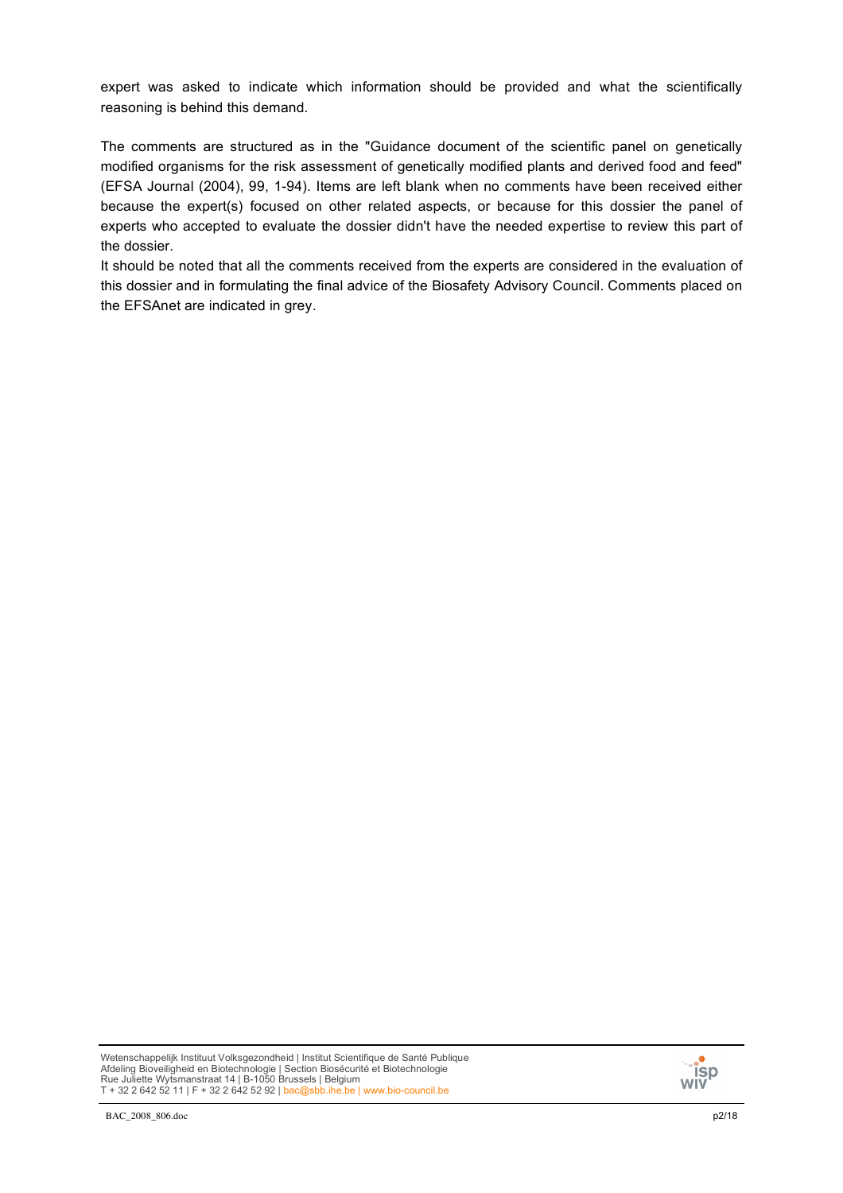expert was asked to indicate which information should be provided and what the scientifically reasoning is behind this demand.

The comments are structured as in the "Guidance document of the scientific panel on genetically modified organisms for the risk assessment of genetically modified plants and derived food and feed" (EFSA Journal (2004), 99, 1-94). Items are left blank when no comments have been received either because the expert(s) focused on other related aspects, or because for this dossier the panel of experts who accepted to evaluate the dossier didn't have the needed expertise to review this part of the dossier.

It should be noted that all the comments received from the experts are considered in the evaluation of this dossier and in formulating the final advice of the Biosafety Advisory Council. Comments placed on the EFSAnet are indicated in grey.

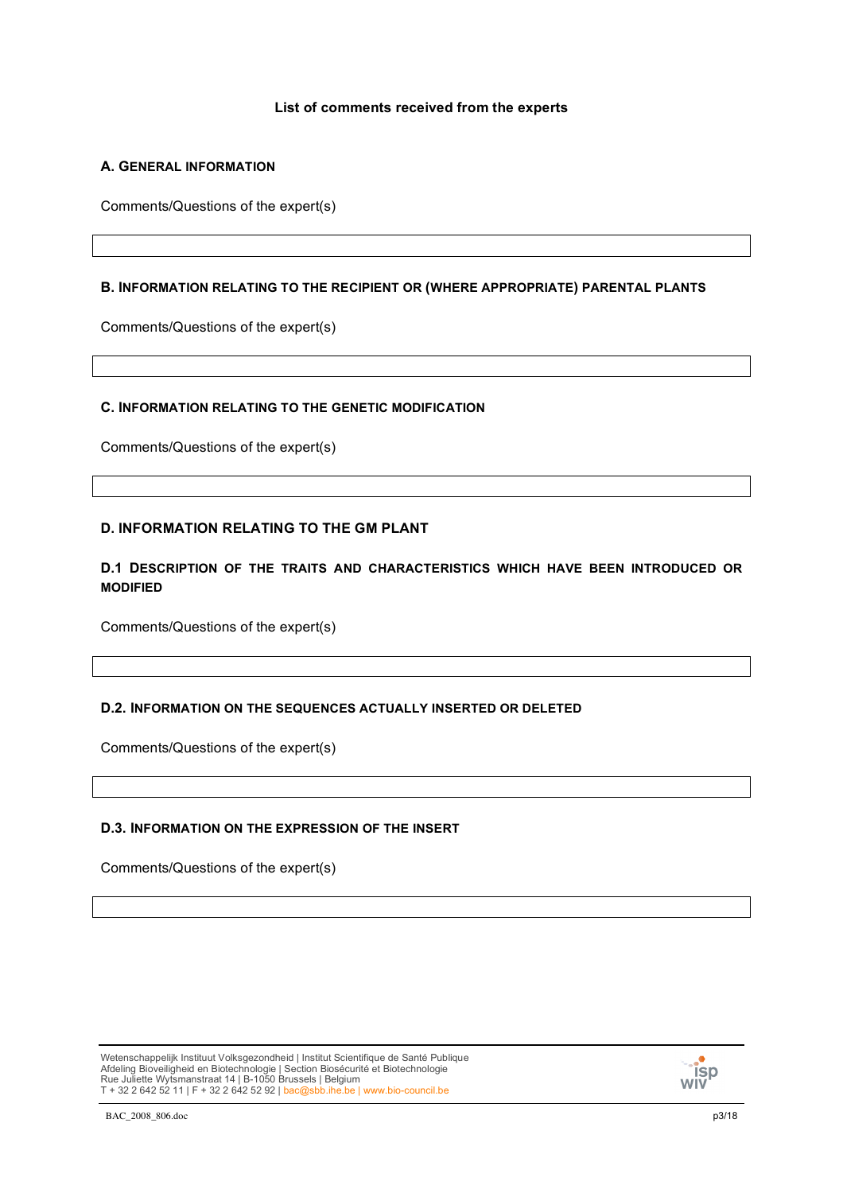### **List of comments received from the experts**

## **A. GENERAL INFORMATION**

Comments/Questions of the expert(s)

### **B. INFORMATION RELATING TO THE RECIPIENT OR (WHERE APPROPRIATE) PARENTAL PLANTS**

Comments/Questions of the expert(s)

### **C. INFORMATION RELATING TO THE GENETIC MODIFICATION**

Comments/Questions of the expert(s)

### **D. INFORMATION RELATING TO THE GM PLANT**

## **D.1 DESCRIPTION OF THE TRAITS AND CHARACTERISTICS WHICH HAVE BEEN INTRODUCED OR MODIFIED**

Comments/Questions of the expert(s)

### **D.2. INFORMATION ON THE SEQUENCES ACTUALLY INSERTED OR DELETED**

Comments/Questions of the expert(s)

### **D.3. INFORMATION ON THE EXPRESSION OF THE INSERT**

Comments/Questions of the expert(s)

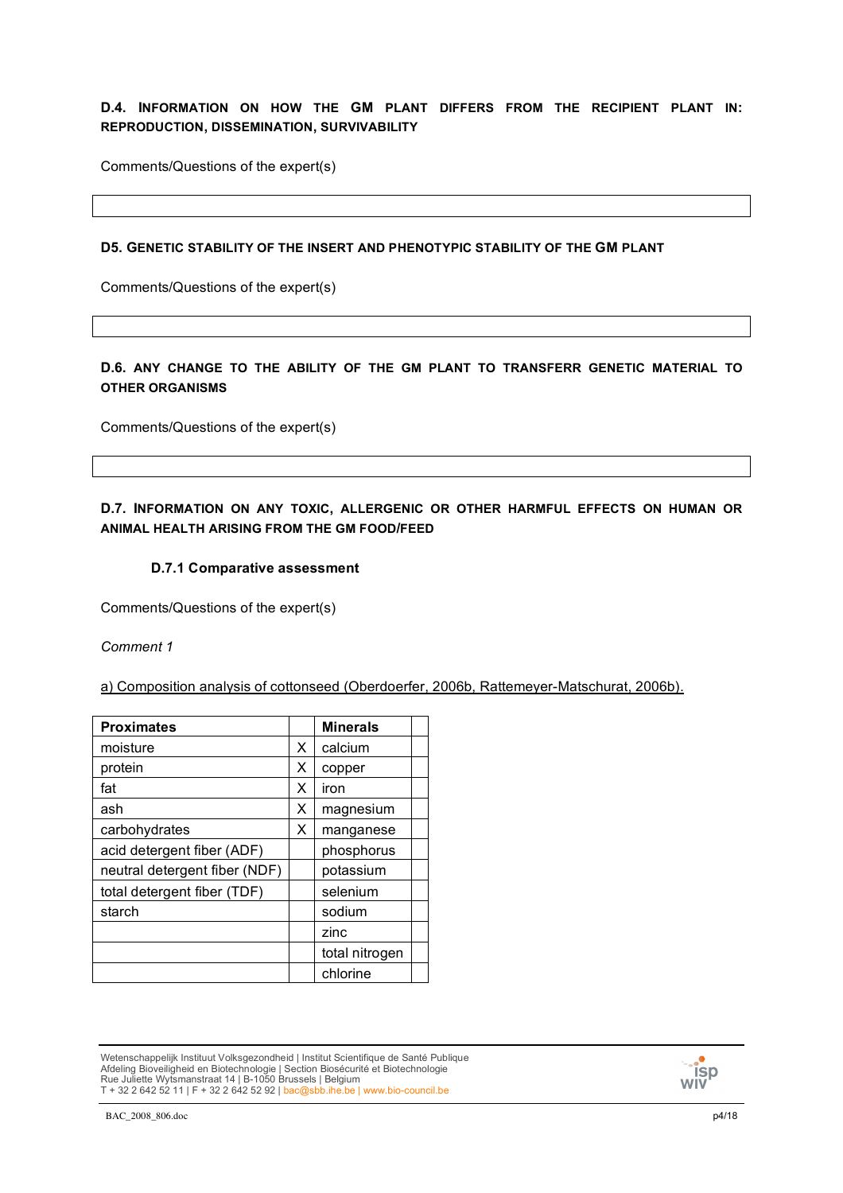## **D.4. INFORMATION ON HOW THE GM PLANT DIFFERS FROM THE RECIPIENT PLANT IN: REPRODUCTION, DISSEMINATION, SURVIVABILITY**

Comments/Questions of the expert(s)

### **D5. GENETIC STABILITY OF THE INSERT AND PHENOTYPIC STABILITY OF THE GM PLANT**

Comments/Questions of the expert(s)

## **D.6. ANY CHANGE TO THE ABILITY OF THE GM PLANT TO TRANSFERR GENETIC MATERIAL TO OTHER ORGANISMS**

Comments/Questions of the expert(s)

# **D.7. INFORMATION ON ANY TOXIC, ALLERGENIC OR OTHER HARMFUL EFFECTS ON HUMAN OR ANIMAL HEALTH ARISING FROM THE GM FOOD/FEED**

### **D.7.1 Comparative assessment**

Comments/Questions of the expert(s)

*Comment 1*

a) Composition analysis of cottonseed (Oberdoerfer, 2006b, Rattemeyer-Matschurat, 2006b).

| <b>Proximates</b>             |   | <b>Minerals</b> |  |
|-------------------------------|---|-----------------|--|
| moisture                      | X | calcium         |  |
| protein                       | X | copper          |  |
| fat                           | x | iron            |  |
| ash                           | X | magnesium       |  |
| carbohydrates                 | X | manganese       |  |
| acid detergent fiber (ADF)    |   | phosphorus      |  |
| neutral detergent fiber (NDF) |   | potassium       |  |
| total detergent fiber (TDF)   |   | selenium        |  |
| starch                        |   | sodium          |  |
|                               |   | zinc            |  |
|                               |   | total nitrogen  |  |
|                               |   | chlorine        |  |

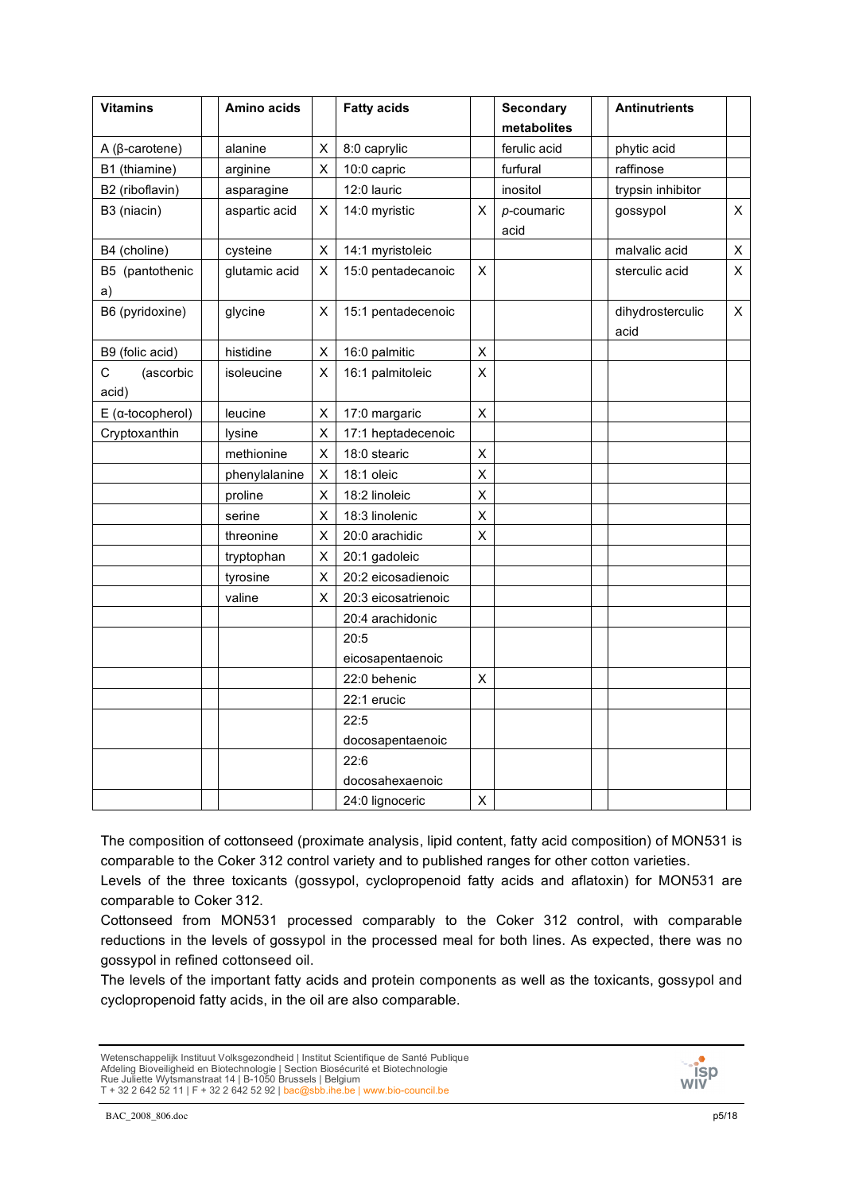| <b>Vitamins</b>             | Amino acids   |             | <b>Fatty acids</b>  |   | <b>Secondary</b><br>metabolites | <b>Antinutrients</b>           |
|-----------------------------|---------------|-------------|---------------------|---|---------------------------------|--------------------------------|
| $A$ ( $\beta$ -carotene)    | alanine       | $\mathsf X$ | 8:0 caprylic        |   | ferulic acid                    | phytic acid                    |
| B1 (thiamine)               | arginine      | X           | 10:0 capric         |   | furfural                        | raffinose                      |
| B2 (riboflavin)             | asparagine    |             | 12:0 lauric         |   | inositol                        | trypsin inhibitor              |
| B3 (niacin)                 | aspartic acid | Χ           | 14:0 myristic       | х | $p$ -coumaric<br>acid           | $\mathsf{X}$<br>gossypol       |
| B4 (choline)                | cysteine      | X           | 14:1 myristoleic    |   |                                 | malvalic acid<br>X             |
| B5 (pantothenic<br>a)       | glutamic acid | X           | 15:0 pentadecanoic  | X |                                 | sterculic acid<br>X            |
| B6 (pyridoxine)             | glycine       | X           | 15:1 pentadecenoic  |   |                                 | dihydrosterculic<br>X.<br>acid |
| B9 (folic acid)             | histidine     | X           | 16:0 palmitic       | X |                                 |                                |
| С<br>(ascorbic<br>acid)     | isoleucine    | Χ           | 16:1 palmitoleic    | X |                                 |                                |
| $E$ ( $\alpha$ -tocopherol) | leucine       | X           | 17:0 margaric       | Χ |                                 |                                |
| Cryptoxanthin               | lysine        | X           | 17:1 heptadecenoic  |   |                                 |                                |
|                             | methionine    | X           | 18:0 stearic        | х |                                 |                                |
|                             | phenylalanine | $\mathsf X$ | 18:1 oleic          | Χ |                                 |                                |
|                             | proline       | Χ           | 18:2 linoleic       | X |                                 |                                |
|                             | serine        | X           | 18:3 linolenic      | X |                                 |                                |
|                             | threonine     | Χ           | 20:0 arachidic      | X |                                 |                                |
|                             | tryptophan    | Χ           | 20:1 gadoleic       |   |                                 |                                |
|                             | tyrosine      | X           | 20:2 eicosadienoic  |   |                                 |                                |
|                             | valine        | X           | 20:3 eicosatrienoic |   |                                 |                                |
|                             |               |             | 20:4 arachidonic    |   |                                 |                                |
|                             |               |             | 20:5                |   |                                 |                                |
|                             |               |             | eicosapentaenoic    |   |                                 |                                |
|                             |               |             | 22:0 behenic        | X |                                 |                                |
|                             |               |             | 22:1 erucic         |   |                                 |                                |
|                             |               |             | 22:5                |   |                                 |                                |
|                             |               |             | docosapentaenoic    |   |                                 |                                |
|                             |               |             | 22:6                |   |                                 |                                |
|                             |               |             | docosahexaenoic     |   |                                 |                                |
|                             |               |             | 24:0 lignoceric     | X |                                 |                                |

The composition of cottonseed (proximate analysis, lipid content, fatty acid composition) of MON531 is comparable to the Coker 312 control variety and to published ranges for other cotton varieties.

Levels of the three toxicants (gossypol, cyclopropenoid fatty acids and aflatoxin) for MON531 are comparable to Coker 312.

Cottonseed from MON531 processed comparably to the Coker 312 control, with comparable reductions in the levels of gossypol in the processed meal for both lines. As expected, there was no gossypol in refined cottonseed oil.

The levels of the important fatty acids and protein components as well as the toxicants, gossypol and cyclopropenoid fatty acids, in the oil are also comparable.

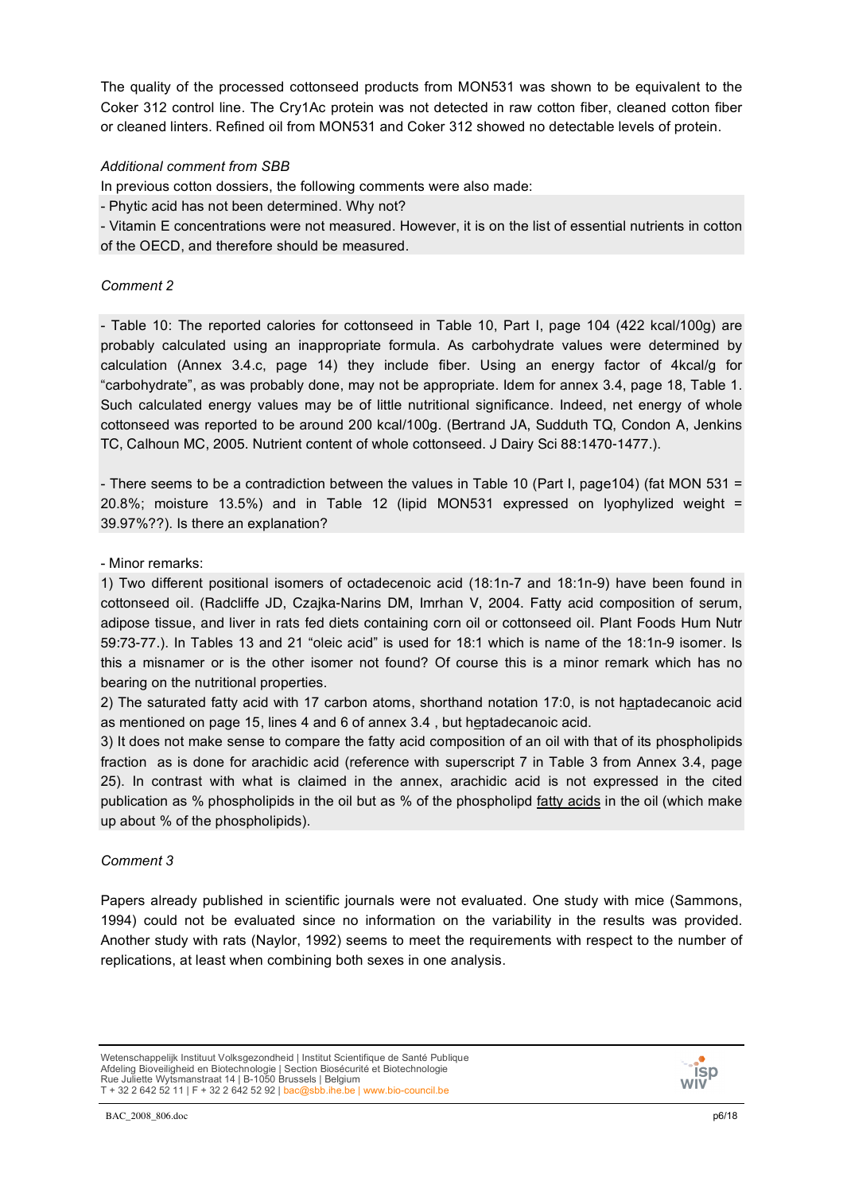The quality of the processed cottonseed products from MON531 was shown to be equivalent to the Coker 312 control line. The Cry1Ac protein was not detected in raw cotton fiber, cleaned cotton fiber or cleaned linters. Refined oil from MON531 and Coker 312 showed no detectable levels of protein.

## *Additional comment from SBB*

In previous cotton dossiers, the following comments were also made:

- Phytic acid has not been determined. Why not?

- Vitamin E concentrations were not measured. However, it is on the list of essential nutrients in cotton of the OECD, and therefore should be measured.

## *Comment 2*

- Table 10: The reported calories for cottonseed in Table 10, Part I, page 104 (422 kcal/100g) are probably calculated using an inappropriate formula. As carbohydrate values were determined by calculation (Annex 3.4.c, page 14) they include fiber. Using an energy factor of 4kcal/g for "carbohydrate", as was probably done, may not be appropriate. Idem for annex 3.4, page 18, Table 1. Such calculated energy values may be of little nutritional significance. Indeed, net energy of whole cottonseed was reported to be around 200 kcal/100g. (Bertrand JA, Sudduth TQ, Condon A, Jenkins TC, Calhoun MC, 2005. Nutrient content of whole cottonseed. J Dairy Sci 88:1470-1477.).

- There seems to be a contradiction between the values in Table 10 (Part I, page104) (fat MON 531 = 20.8%; moisture 13.5%) and in Table 12 (lipid MON531 expressed on lyophylized weight = 39.97%??). Is there an explanation?

## - Minor remarks:

1) Two different positional isomers of octadecenoic acid (18:1n-7 and 18:1n-9) have been found in cottonseed oil. (Radcliffe JD, Czajka-Narins DM, Imrhan V, 2004. Fatty acid composition of serum, adipose tissue, and liver in rats fed diets containing corn oil or cottonseed oil. Plant Foods Hum Nutr 59:73-77.). In Tables 13 and 21 "oleic acid" is used for 18:1 which is name of the 18:1n-9 isomer. Is this a misnamer or is the other isomer not found? Of course this is a minor remark which has no bearing on the nutritional properties.

2) The saturated fatty acid with 17 carbon atoms, shorthand notation 17:0, is not haptadecanoic acid as mentioned on page 15, lines 4 and 6 of annex 3.4 , but heptadecanoic acid.

3) It does not make sense to compare the fatty acid composition of an oil with that of its phospholipids fraction as is done for arachidic acid (reference with superscript 7 in Table 3 from Annex 3.4, page 25). In contrast with what is claimed in the annex, arachidic acid is not expressed in the cited publication as % phospholipids in the oil but as % of the phospholipd fatty acids in the oil (which make up about % of the phospholipids).

# *Comment 3*

Papers already published in scientific journals were not evaluated. One study with mice (Sammons, 1994) could not be evaluated since no information on the variability in the results was provided. Another study with rats (Naylor, 1992) seems to meet the requirements with respect to the number of replications, at least when combining both sexes in one analysis.

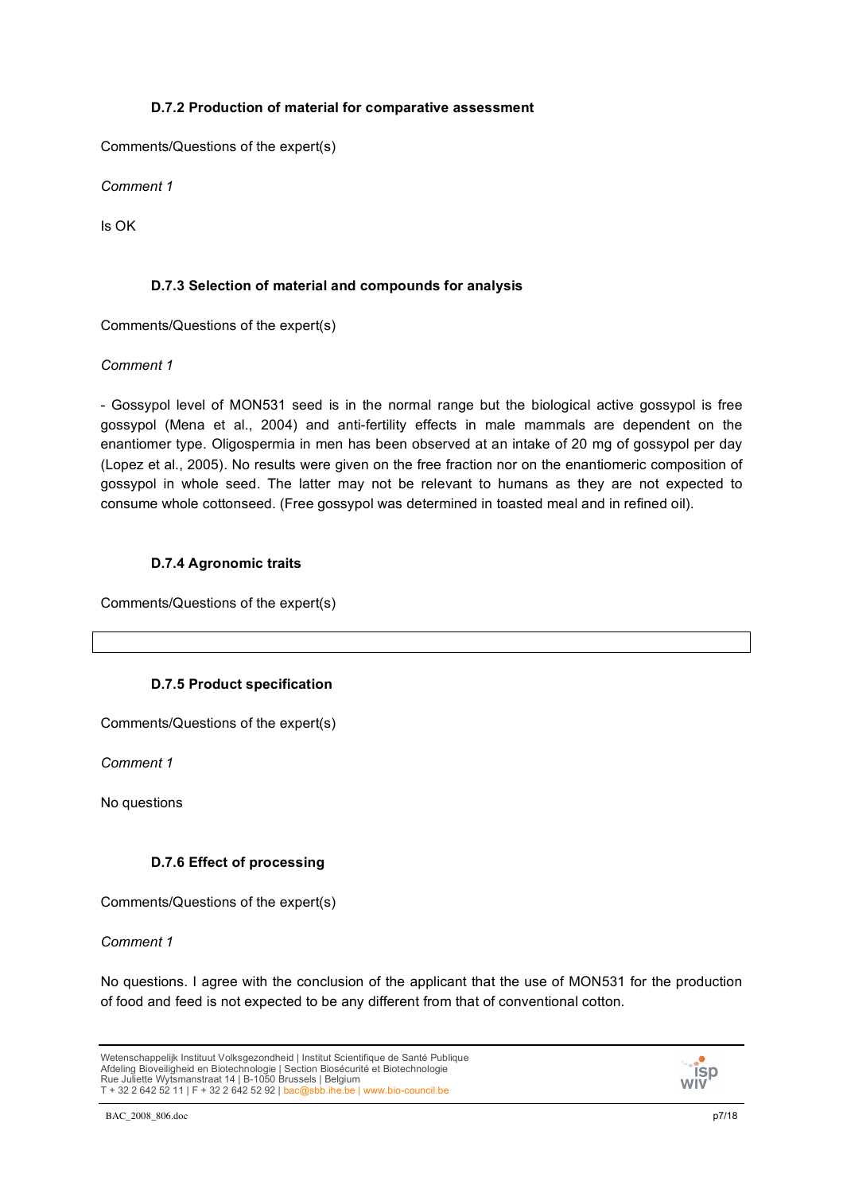## **D.7.2 Production of material for comparative assessment**

Comments/Questions of the expert(s)

*Comment 1*

Is OK

# **D.7.3 Selection of material and compounds for analysis**

Comments/Questions of the expert(s)

## *Comment 1*

- Gossypol level of MON531 seed is in the normal range but the biological active gossypol is free gossypol (Mena et al., 2004) and anti-fertility effects in male mammals are dependent on the enantiomer type. Oligospermia in men has been observed at an intake of 20 mg of gossypol per day (Lopez et al., 2005). No results were given on the free fraction nor on the enantiomeric composition of gossypol in whole seed. The latter may not be relevant to humans as they are not expected to consume whole cottonseed. (Free gossypol was determined in toasted meal and in refined oil).

# **D.7.4 Agronomic traits**

Comments/Questions of the expert(s)

# **D.7.5 Product specification**

Comments/Questions of the expert(s)

*Comment 1*

No questions

# **D.7.6 Effect of processing**

Comments/Questions of the expert(s)

*Comment 1*

No questions. I agree with the conclusion of the applicant that the use of MON531 for the production of food and feed is not expected to be any different from that of conventional cotton.



Wetenschappelijk Instituut Volksgezondheid | Institut Scientifique de Santé Publique Afdeling Bioveiligheid en Biotechnologie | Section Biosécurité et Biotechnologie Rue Juliette Wytsmanstraat 14 | B-1050 Brussels | Belgium<br>T + 32 2 642 52 11 | F + 32 2 642 52 92 | <mark>bac@sbb.ihe.be | www.bio-council.be</mark>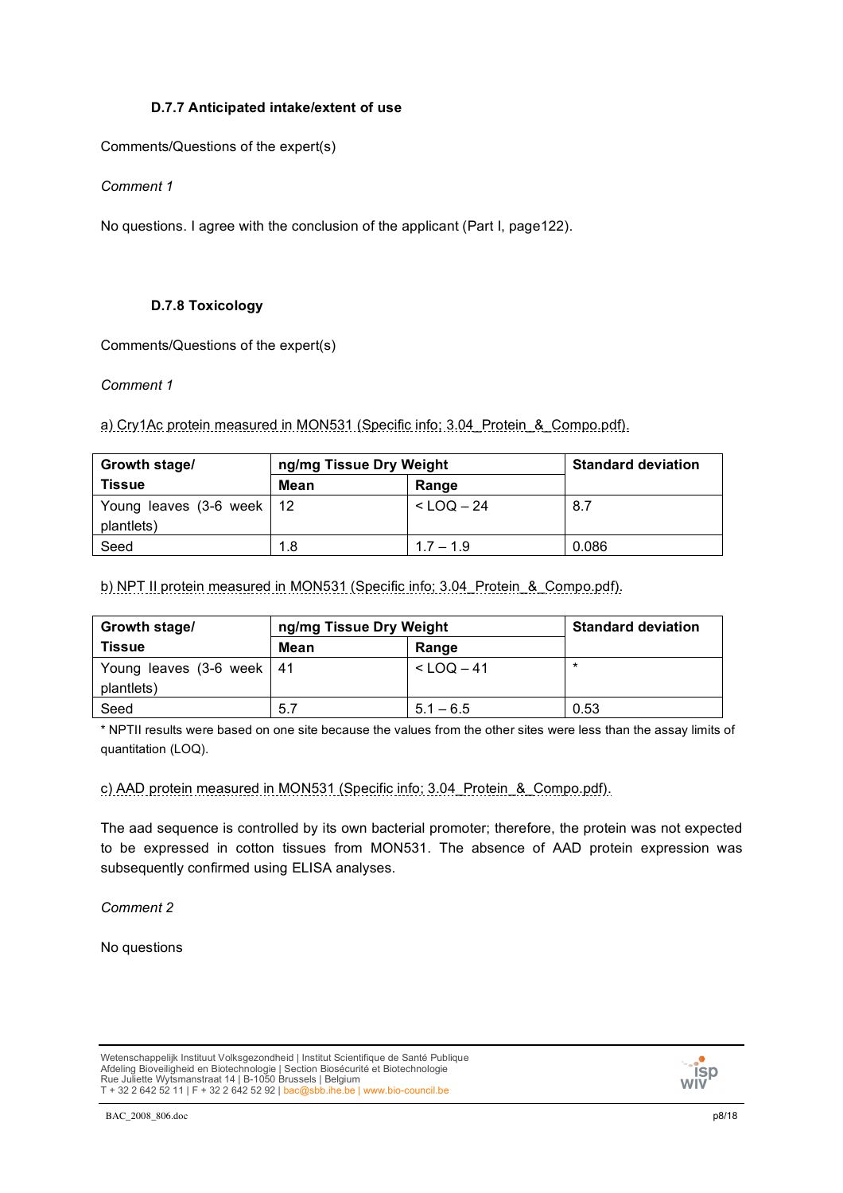## **D.7.7 Anticipated intake/extent of use**

Comments/Questions of the expert(s)

*Comment 1*

No questions. I agree with the conclusion of the applicant (Part I, page122).

## **D.7.8 Toxicology**

Comments/Questions of the expert(s)

*Comment 1*

a) Cry1Ac protein measured in MON531 (Specific info; 3.04\_Protein\_&\_Compo.pdf).

| Growth stage/                             | ng/mg Tissue Dry Weight |                | <b>Standard deviation</b> |
|-------------------------------------------|-------------------------|----------------|---------------------------|
| <b>Tissue</b>                             | <b>Mean</b>             | Range          |                           |
| Young leaves (3-6 week   12<br>plantlets) |                         | $<$ LOQ $-$ 24 | 8.7                       |
| Seed                                      | 1.8                     | $1.7 - 1.9$    | 0.086                     |

b) NPT II protein measured in MON531 (Specific info; 3.04 Protein & Compo.pdf).

| Growth stage/                             | ng/mg Tissue Dry Weight |                | <b>Standard deviation</b> |
|-------------------------------------------|-------------------------|----------------|---------------------------|
| <b>Tissue</b>                             | Mean                    | Range          |                           |
| Young leaves (3-6 week   41<br>plantlets) |                         | $<$ LOQ $-$ 41 | $\star$                   |
| Seed                                      | 5.7                     | $5.1 - 6.5$    | 0.53                      |

\* NPTII results were based on one site because the values from the other sites were less than the assay limits of quantitation (LOQ).

c) AAD protein measured in MON531 (Specific info; 3.04\_Protein\_&\_Compo.pdf).

The aad sequence is controlled by its own bacterial promoter; therefore, the protein was not expected to be expressed in cotton tissues from MON531. The absence of AAD protein expression was subsequently confirmed using ELISA analyses.

*Comment 2*

No questions

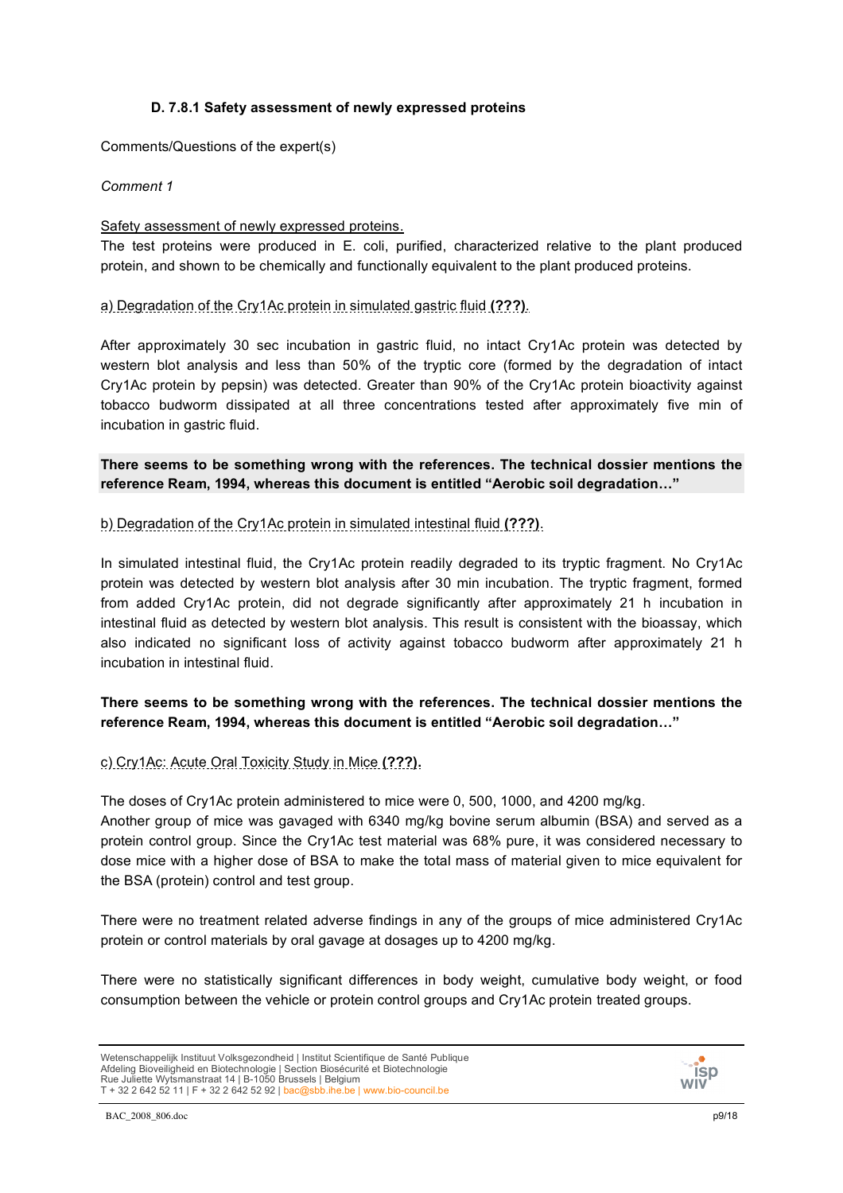## **D. 7.8.1 Safety assessment of newly expressed proteins**

Comments/Questions of the expert(s)

*Comment 1*

## Safety assessment of newly expressed proteins.

The test proteins were produced in E. coli, purified, characterized relative to the plant produced protein, and shown to be chemically and functionally equivalent to the plant produced proteins.

a) Degradation of the Cry1Ac protein in simulated gastric fluid **(???)**.

After approximately 30 sec incubation in gastric fluid, no intact Cry1Ac protein was detected by western blot analysis and less than 50% of the tryptic core (formed by the degradation of intact Cry1Ac protein by pepsin) was detected. Greater than 90% of the Cry1Ac protein bioactivity against tobacco budworm dissipated at all three concentrations tested after approximately five min of incubation in gastric fluid.

**There seems to be something wrong with the references. The technical dossier mentions the reference Ream, 1994, whereas this document is entitled "Aerobic soil degradation…"**

b) Degradation of the Cry1Ac protein in simulated intestinal fluid **(???)**.

In simulated intestinal fluid, the Cry1Ac protein readily degraded to its tryptic fragment. No Cry1Ac protein was detected by western blot analysis after 30 min incubation. The tryptic fragment, formed from added Cry1Ac protein, did not degrade significantly after approximately 21 h incubation in intestinal fluid as detected by western blot analysis. This result is consistent with the bioassay, which also indicated no significant loss of activity against tobacco budworm after approximately 21 h incubation in intestinal fluid.

# **There seems to be something wrong with the references. The technical dossier mentions the reference Ream, 1994, whereas this document is entitled "Aerobic soil degradation…"**

c) Cry1Ac: Acute Oral Toxicity Study in Mice **(???).**

The doses of Cry1Ac protein administered to mice were 0, 500, 1000, and 4200 mg/kg.

Another group of mice was gavaged with 6340 mg/kg bovine serum albumin (BSA) and served as a protein control group. Since the Cry1Ac test material was 68% pure, it was considered necessary to dose mice with a higher dose of BSA to make the total mass of material given to mice equivalent for the BSA (protein) control and test group.

There were no treatment related adverse findings in any of the groups of mice administered Cry1Ac protein or control materials by oral gavage at dosages up to 4200 mg/kg.

There were no statistically significant differences in body weight, cumulative body weight, or food consumption between the vehicle or protein control groups and Cry1Ac protein treated groups.

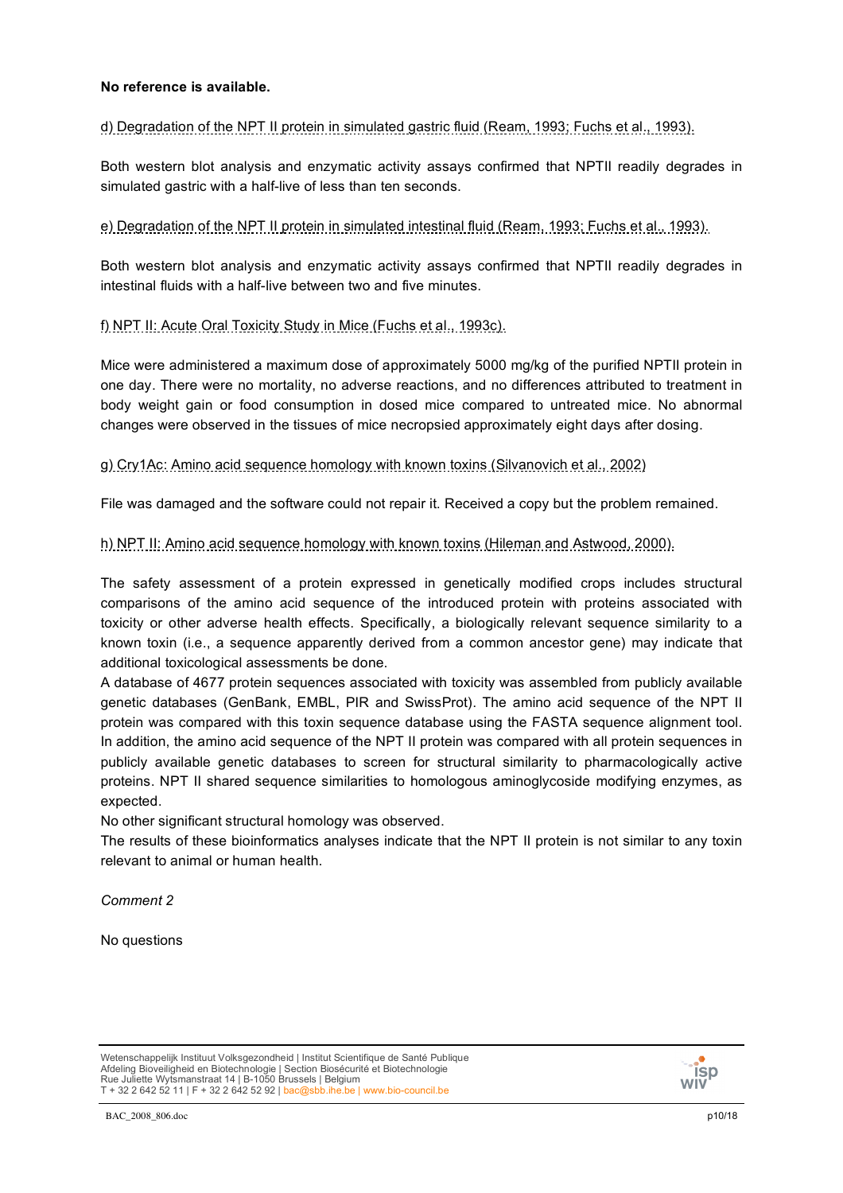## **No reference is available.**

d) Degradation of the NPT II protein in simulated gastric fluid (Ream, 1993; Fuchs et al., 1993).

Both western blot analysis and enzymatic activity assays confirmed that NPTII readily degrades in simulated gastric with a half-live of less than ten seconds.

e) Degradation of the NPT II protein in simulated intestinal fluid (Ream, 1993; Fuchs et al., 1993).

Both western blot analysis and enzymatic activity assays confirmed that NPTII readily degrades in intestinal fluids with a half-live between two and five minutes.

## f) NPT II: Acute Oral Toxicity Study in Mice (Fuchs et al., 1993c).

Mice were administered a maximum dose of approximately 5000 mg/kg of the purified NPTII protein in one day. There were no mortality, no adverse reactions, and no differences attributed to treatment in body weight gain or food consumption in dosed mice compared to untreated mice. No abnormal changes were observed in the tissues of mice necropsied approximately eight days after dosing.

## g) Cry1Ac: Amino acid sequence homology with known toxins (Silvanovich et al., 2002)

File was damaged and the software could not repair it. Received a copy but the problem remained.

## h) NPT II: Amino acid sequence homology with known toxins (Hileman and Astwood, 2000).

The safety assessment of a protein expressed in genetically modified crops includes structural comparisons of the amino acid sequence of the introduced protein with proteins associated with toxicity or other adverse health effects. Specifically, a biologically relevant sequence similarity to a known toxin (i.e., a sequence apparently derived from a common ancestor gene) may indicate that additional toxicological assessments be done.

A database of 4677 protein sequences associated with toxicity was assembled from publicly available genetic databases (GenBank, EMBL, PIR and SwissProt). The amino acid sequence of the NPT II protein was compared with this toxin sequence database using the FASTA sequence alignment tool. In addition, the amino acid sequence of the NPT II protein was compared with all protein sequences in publicly available genetic databases to screen for structural similarity to pharmacologically active proteins. NPT II shared sequence similarities to homologous aminoglycoside modifying enzymes, as expected.

No other significant structural homology was observed.

The results of these bioinformatics analyses indicate that the NPT II protein is not similar to any toxin relevant to animal or human health.

*Comment 2*

No questions

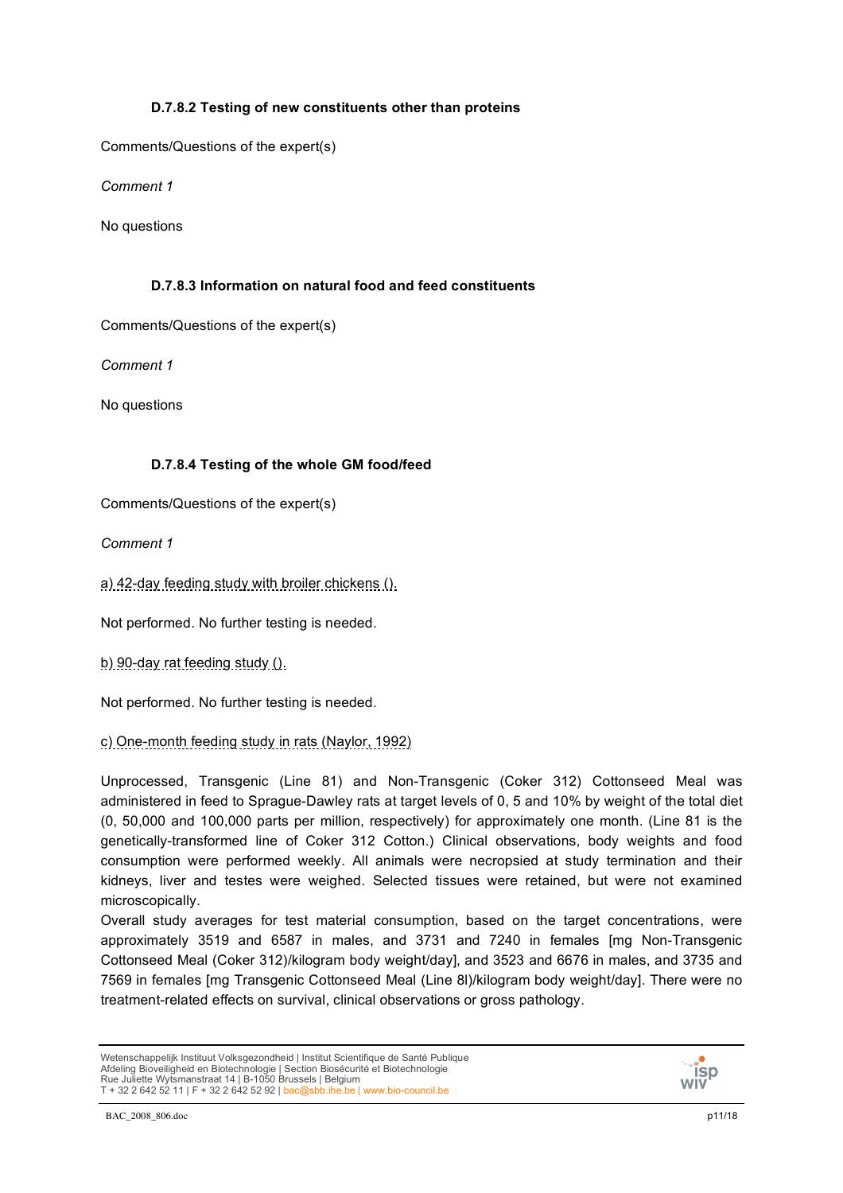## **D.7.8.2 Testing of new constituents other than proteins**

Comments/Questions of the expert(s)

*Comment 1*

No questions

# **D.7.8.3 Information on natural food and feed constituents**

Comments/Questions of the expert(s)

*Comment 1*

No questions

# **D.7.8.4 Testing of the whole GM food/feed**

Comments/Questions of the expert(s)

*Comment 1*

a) 42-day feeding study with broiler chickens ().

Not performed. No further testing is needed.

b) 90-day rat feeding study ().

Not performed. No further testing is needed.

c) One-month feeding study in rats (Naylor, 1992)

Unprocessed, Transgenic (Line 81) and Non-Transgenic (Coker 312) Cottonseed Meal was administered in feed to Sprague-Dawley rats at target levels of 0, 5 and 10% by weight of the total diet (0, 50,000 and 100,000 parts per million, respectively) for approximately one month. (Line 81 is the genetically-transformed line of Coker 312 Cotton.) Clinical observations, body weights and food consumption were performed weekly. All animals were necropsied at study termination and their kidneys, liver and testes were weighed. Selected tissues were retained, but were not examined microscopically.

Overall study averages for test material consumption, based on the target concentrations, were approximately 3519 and 6587 in males, and 3731 and 7240 in females [mg Non-Transgenic Cottonseed Meal (Coker 312)/kilogram body weight/day], and 3523 and 6676 in males, and 3735 and 7569 in females [mg Transgenic Cottonseed Meal (Line 8l)/kilogram body weight/day]. There were no treatment-related effects on survival, clinical observations or gross pathology.

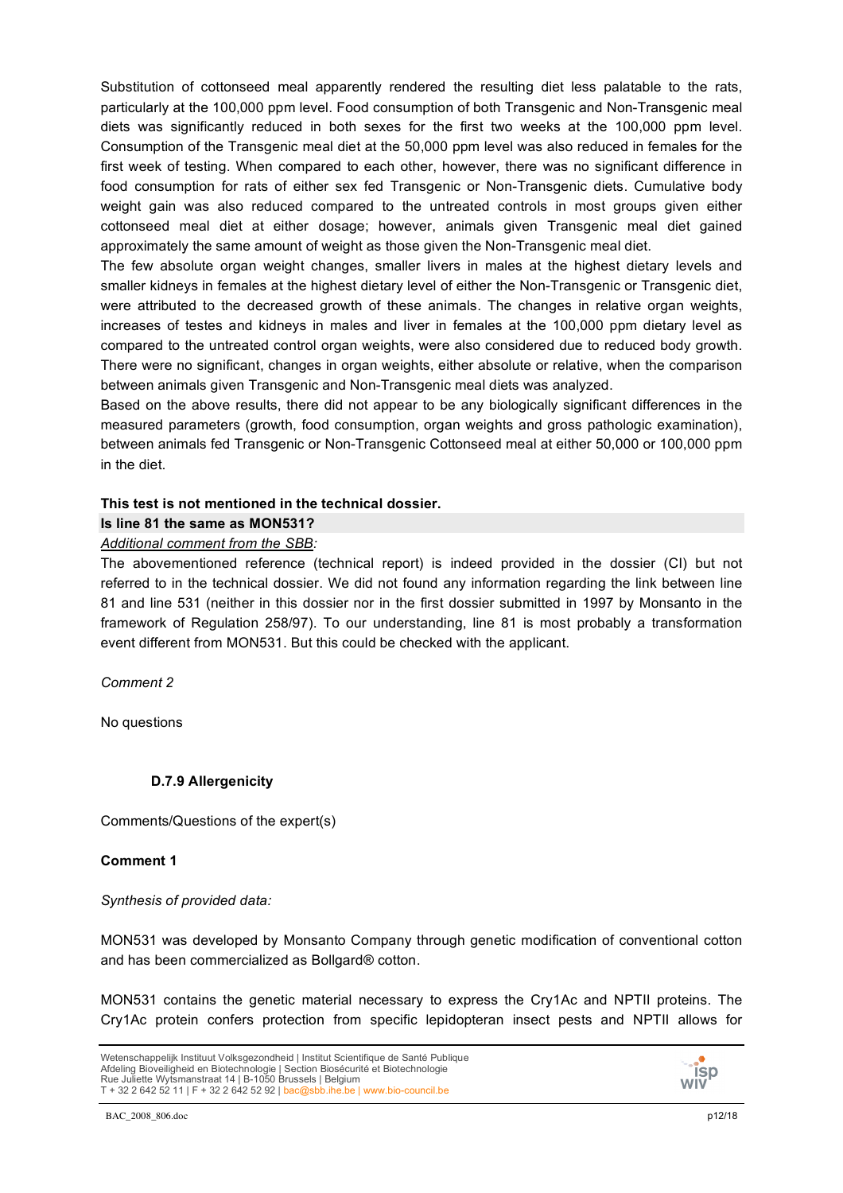Substitution of cottonseed meal apparently rendered the resulting diet less palatable to the rats, particularly at the 100,000 ppm level. Food consumption of both Transgenic and Non-Transgenic meal diets was significantly reduced in both sexes for the first two weeks at the 100,000 ppm level. Consumption of the Transgenic meal diet at the 50,000 ppm level was also reduced in females for the first week of testing. When compared to each other, however, there was no significant difference in food consumption for rats of either sex fed Transgenic or Non-Transgenic diets. Cumulative body weight gain was also reduced compared to the untreated controls in most groups given either cottonseed meal diet at either dosage; however, animals given Transgenic meal diet gained approximately the same amount of weight as those given the Non-Transgenic meal diet.

The few absolute organ weight changes, smaller livers in males at the highest dietary levels and smaller kidneys in females at the highest dietary level of either the Non-Transgenic or Transgenic diet, were attributed to the decreased growth of these animals. The changes in relative organ weights, increases of testes and kidneys in males and liver in females at the 100,000 ppm dietary level as compared to the untreated control organ weights, were also considered due to reduced body growth. There were no significant, changes in organ weights, either absolute or relative, when the comparison between animals given Transgenic and Non-Transgenic meal diets was analyzed.

Based on the above results, there did not appear to be any biologically significant differences in the measured parameters (growth, food consumption, organ weights and gross pathologic examination), between animals fed Transgenic or Non-Transgenic Cottonseed meal at either 50,000 or 100,000 ppm in the diet.

## **This test is not mentioned in the technical dossier.**

# **Is line 81 the same as MON531?**

## *Additional comment from the SBB:*

The abovementioned reference (technical report) is indeed provided in the dossier (CI) but not referred to in the technical dossier. We did not found any information regarding the link between line 81 and line 531 (neither in this dossier nor in the first dossier submitted in 1997 by Monsanto in the framework of Regulation 258/97). To our understanding, line 81 is most probably a transformation event different from MON531. But this could be checked with the applicant.

*Comment 2*

No questions

# **D.7.9 Allergenicity**

Comments/Questions of the expert(s)

## **Comment 1**

*Synthesis of provided data:*

MON531 was developed by Monsanto Company through genetic modification of conventional cotton and has been commercialized as Bollgard® cotton.

MON531 contains the genetic material necessary to express the Cry1Ac and NPTII proteins. The Cry1Ac protein confers protection from specific lepidopteran insect pests and NPTII allows for

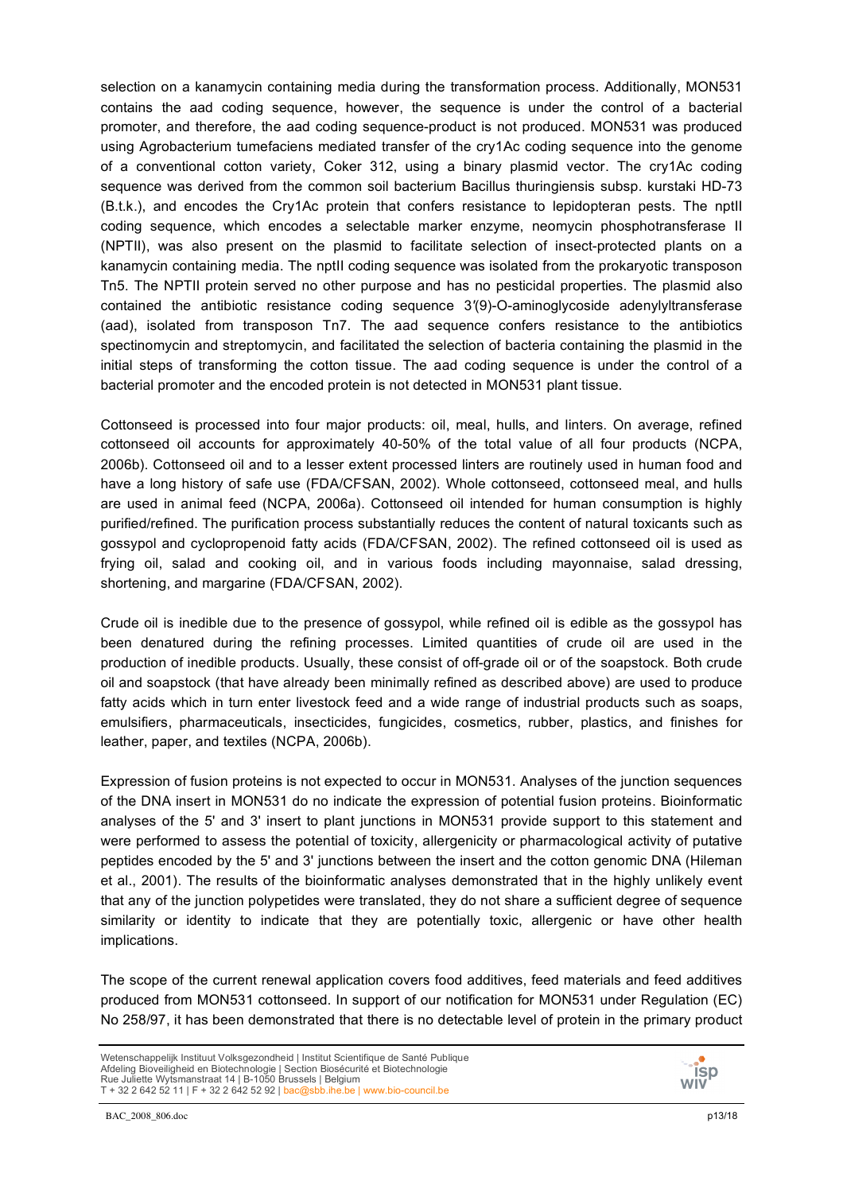selection on a kanamycin containing media during the transformation process. Additionally, MON531 contains the aad coding sequence, however, the sequence is under the control of a bacterial promoter, and therefore, the aad coding sequence-product is not produced. MON531 was produced using Agrobacterium tumefaciens mediated transfer of the cry1Ac coding sequence into the genome of a conventional cotton variety, Coker 312, using a binary plasmid vector. The cry1Ac coding sequence was derived from the common soil bacterium Bacillus thuringiensis subsp. kurstaki HD-73 (B.t.k.), and encodes the Cry1Ac protein that confers resistance to lepidopteran pests. The nptII coding sequence, which encodes a selectable marker enzyme, neomycin phosphotransferase II (NPTII), was also present on the plasmid to facilitate selection of insect-protected plants on a kanamycin containing media. The nptII coding sequence was isolated from the prokaryotic transposon Tn5. The NPTII protein served no other purpose and has no pesticidal properties. The plasmid also contained the antibiotic resistance coding sequence 3*'*(9)-O-aminoglycoside adenylyltransferase (aad), isolated from transposon Tn7. The aad sequence confers resistance to the antibiotics spectinomycin and streptomycin, and facilitated the selection of bacteria containing the plasmid in the initial steps of transforming the cotton tissue. The aad coding sequence is under the control of a bacterial promoter and the encoded protein is not detected in MON531 plant tissue.

Cottonseed is processed into four major products: oil, meal, hulls, and linters. On average, refined cottonseed oil accounts for approximately 40-50% of the total value of all four products (NCPA, 2006b). Cottonseed oil and to a lesser extent processed linters are routinely used in human food and have a long history of safe use (FDA/CFSAN, 2002). Whole cottonseed, cottonseed meal, and hulls are used in animal feed (NCPA, 2006a). Cottonseed oil intended for human consumption is highly purified/refined. The purification process substantially reduces the content of natural toxicants such as gossypol and cyclopropenoid fatty acids (FDA/CFSAN, 2002). The refined cottonseed oil is used as frying oil, salad and cooking oil, and in various foods including mayonnaise, salad dressing, shortening, and margarine (FDA/CFSAN, 2002).

Crude oil is inedible due to the presence of gossypol, while refined oil is edible as the gossypol has been denatured during the refining processes. Limited quantities of crude oil are used in the production of inedible products. Usually, these consist of off-grade oil or of the soapstock. Both crude oil and soapstock (that have already been minimally refined as described above) are used to produce fatty acids which in turn enter livestock feed and a wide range of industrial products such as soaps, emulsifiers, pharmaceuticals, insecticides, fungicides, cosmetics, rubber, plastics, and finishes for leather, paper, and textiles (NCPA, 2006b).

Expression of fusion proteins is not expected to occur in MON531. Analyses of the junction sequences of the DNA insert in MON531 do no indicate the expression of potential fusion proteins. Bioinformatic analyses of the 5' and 3' insert to plant junctions in MON531 provide support to this statement and were performed to assess the potential of toxicity, allergenicity or pharmacological activity of putative peptides encoded by the 5' and 3' junctions between the insert and the cotton genomic DNA (Hileman et al., 2001). The results of the bioinformatic analyses demonstrated that in the highly unlikely event that any of the junction polypetides were translated, they do not share a sufficient degree of sequence similarity or identity to indicate that they are potentially toxic, allergenic or have other health implications.

The scope of the current renewal application covers food additives, feed materials and feed additives produced from MON531 cottonseed. In support of our notification for MON531 under Regulation (EC) No 258/97, it has been demonstrated that there is no detectable level of protein in the primary product

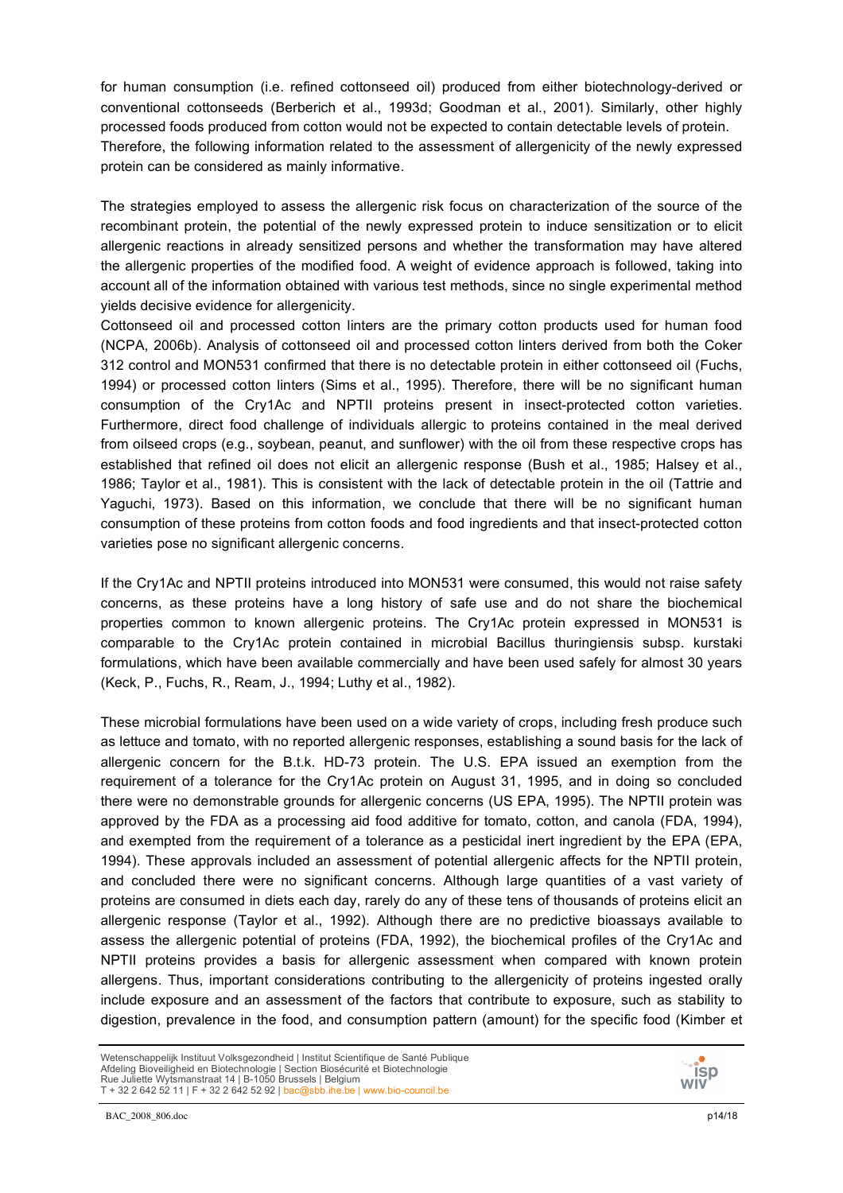for human consumption (i.e. refined cottonseed oil) produced from either biotechnology-derived or conventional cottonseeds (Berberich et al., 1993d; Goodman et al., 2001). Similarly, other highly processed foods produced from cotton would not be expected to contain detectable levels of protein. Therefore, the following information related to the assessment of allergenicity of the newly expressed protein can be considered as mainly informative.

The strategies employed to assess the allergenic risk focus on characterization of the source of the recombinant protein, the potential of the newly expressed protein to induce sensitization or to elicit allergenic reactions in already sensitized persons and whether the transformation may have altered the allergenic properties of the modified food. A weight of evidence approach is followed, taking into account all of the information obtained with various test methods, since no single experimental method yields decisive evidence for allergenicity.

Cottonseed oil and processed cotton linters are the primary cotton products used for human food (NCPA, 2006b). Analysis of cottonseed oil and processed cotton linters derived from both the Coker 312 control and MON531 confirmed that there is no detectable protein in either cottonseed oil (Fuchs, 1994) or processed cotton linters (Sims et al., 1995). Therefore, there will be no significant human consumption of the Cry1Ac and NPTII proteins present in insect-protected cotton varieties. Furthermore, direct food challenge of individuals allergic to proteins contained in the meal derived from oilseed crops (e.g., soybean, peanut, and sunflower) with the oil from these respective crops has established that refined oil does not elicit an allergenic response (Bush et al., 1985; Halsey et al., 1986; Taylor et al., 1981). This is consistent with the lack of detectable protein in the oil (Tattrie and Yaguchi, 1973). Based on this information, we conclude that there will be no significant human consumption of these proteins from cotton foods and food ingredients and that insect-protected cotton varieties pose no significant allergenic concerns.

If the Cry1Ac and NPTII proteins introduced into MON531 were consumed, this would not raise safety concerns, as these proteins have a long history of safe use and do not share the biochemical properties common to known allergenic proteins. The Cry1Ac protein expressed in MON531 is comparable to the Cry1Ac protein contained in microbial Bacillus thuringiensis subsp. kurstaki formulations, which have been available commercially and have been used safely for almost 30 years (Keck, P., Fuchs, R., Ream, J., 1994; Luthy et al., 1982).

These microbial formulations have been used on a wide variety of crops, including fresh produce such as lettuce and tomato, with no reported allergenic responses, establishing a sound basis for the lack of allergenic concern for the B.t.k. HD-73 protein. The U.S. EPA issued an exemption from the requirement of a tolerance for the Cry1Ac protein on August 31, 1995, and in doing so concluded there were no demonstrable grounds for allergenic concerns (US EPA, 1995). The NPTII protein was approved by the FDA as a processing aid food additive for tomato, cotton, and canola (FDA, 1994), and exempted from the requirement of a tolerance as a pesticidal inert ingredient by the EPA (EPA, 1994). These approvals included an assessment of potential allergenic affects for the NPTII protein, and concluded there were no significant concerns. Although large quantities of a vast variety of proteins are consumed in diets each day, rarely do any of these tens of thousands of proteins elicit an allergenic response (Taylor et al., 1992). Although there are no predictive bioassays available to assess the allergenic potential of proteins (FDA, 1992), the biochemical profiles of the Cry1Ac and NPTII proteins provides a basis for allergenic assessment when compared with known protein allergens. Thus, important considerations contributing to the allergenicity of proteins ingested orally include exposure and an assessment of the factors that contribute to exposure, such as stability to digestion, prevalence in the food, and consumption pattern (amount) for the specific food (Kimber et

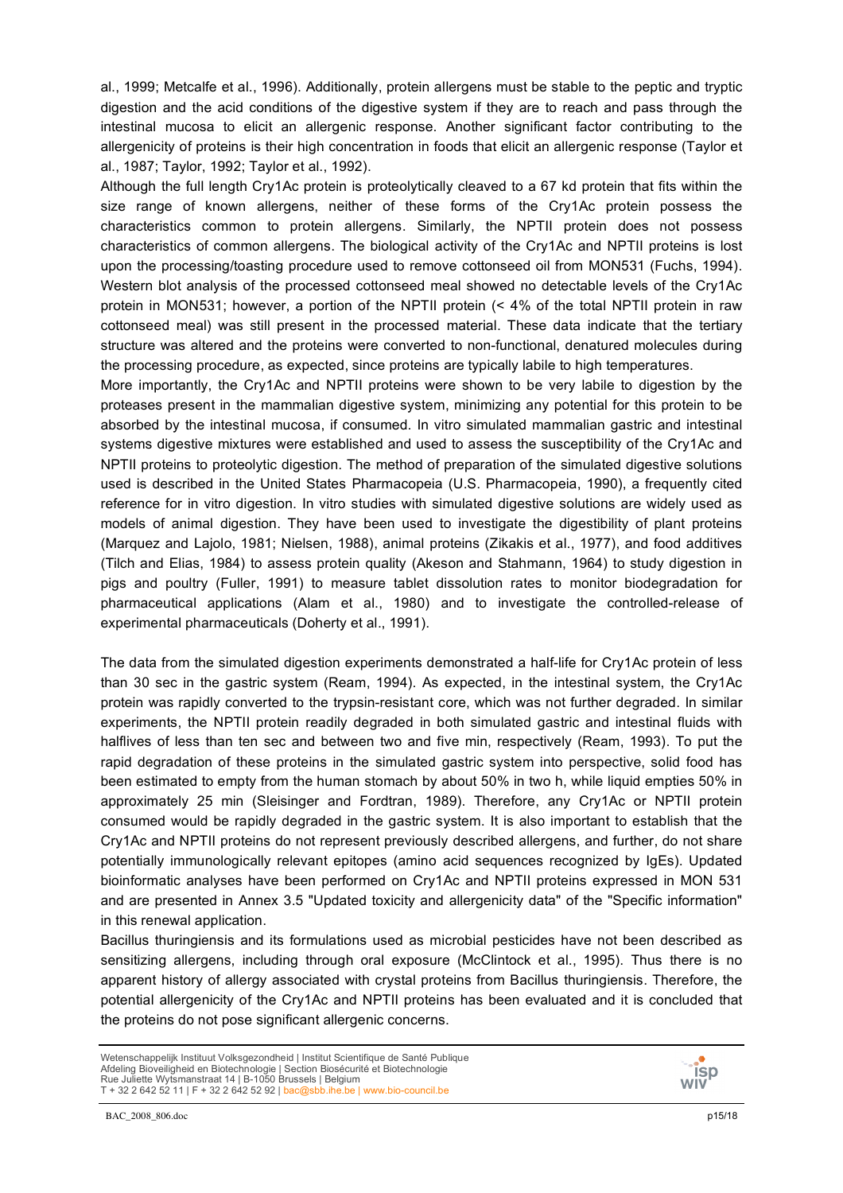al., 1999; Metcalfe et al., 1996). Additionally, protein allergens must be stable to the peptic and tryptic digestion and the acid conditions of the digestive system if they are to reach and pass through the intestinal mucosa to elicit an allergenic response. Another significant factor contributing to the allergenicity of proteins is their high concentration in foods that elicit an allergenic response (Taylor et al., 1987; Taylor, 1992; Taylor et al., 1992).

Although the full length Cry1Ac protein is proteolytically cleaved to a 67 kd protein that fits within the size range of known allergens, neither of these forms of the Cry1Ac protein possess the characteristics common to protein allergens. Similarly, the NPTII protein does not possess characteristics of common allergens. The biological activity of the Cry1Ac and NPTII proteins is lost upon the processing/toasting procedure used to remove cottonseed oil from MON531 (Fuchs, 1994). Western blot analysis of the processed cottonseed meal showed no detectable levels of the Cry1Ac protein in MON531; however, a portion of the NPTII protein (< 4% of the total NPTII protein in raw cottonseed meal) was still present in the processed material. These data indicate that the tertiary structure was altered and the proteins were converted to non-functional, denatured molecules during the processing procedure, as expected, since proteins are typically labile to high temperatures.

More importantly, the Cry1Ac and NPTII proteins were shown to be very labile to digestion by the proteases present in the mammalian digestive system, minimizing any potential for this protein to be absorbed by the intestinal mucosa, if consumed. In vitro simulated mammalian gastric and intestinal systems digestive mixtures were established and used to assess the susceptibility of the Cry1Ac and NPTII proteins to proteolytic digestion. The method of preparation of the simulated digestive solutions used is described in the United States Pharmacopeia (U.S. Pharmacopeia, 1990), a frequently cited reference for in vitro digestion. In vitro studies with simulated digestive solutions are widely used as models of animal digestion. They have been used to investigate the digestibility of plant proteins (Marquez and Lajolo, 1981; Nielsen, 1988), animal proteins (Zikakis et al., 1977), and food additives (Tilch and Elias, 1984) to assess protein quality (Akeson and Stahmann, 1964) to study digestion in pigs and poultry (Fuller, 1991) to measure tablet dissolution rates to monitor biodegradation for pharmaceutical applications (Alam et al., 1980) and to investigate the controlled-release of experimental pharmaceuticals (Doherty et al., 1991).

The data from the simulated digestion experiments demonstrated a half-life for Cry1Ac protein of less than 30 sec in the gastric system (Ream, 1994). As expected, in the intestinal system, the Cry1Ac protein was rapidly converted to the trypsin-resistant core, which was not further degraded. In similar experiments, the NPTII protein readily degraded in both simulated gastric and intestinal fluids with halflives of less than ten sec and between two and five min, respectively (Ream, 1993). To put the rapid degradation of these proteins in the simulated gastric system into perspective, solid food has been estimated to empty from the human stomach by about 50% in two h, while liquid empties 50% in approximately 25 min (Sleisinger and Fordtran, 1989). Therefore, any Cry1Ac or NPTII protein consumed would be rapidly degraded in the gastric system. It is also important to establish that the Cry1Ac and NPTII proteins do not represent previously described allergens, and further, do not share potentially immunologically relevant epitopes (amino acid sequences recognized by IgEs). Updated bioinformatic analyses have been performed on Cry1Ac and NPTII proteins expressed in MON 531 and are presented in Annex 3.5 "Updated toxicity and allergenicity data" of the "Specific information" in this renewal application.

Bacillus thuringiensis and its formulations used as microbial pesticides have not been described as sensitizing allergens, including through oral exposure (McClintock et al., 1995). Thus there is no apparent history of allergy associated with crystal proteins from Bacillus thuringiensis. Therefore, the potential allergenicity of the Cry1Ac and NPTII proteins has been evaluated and it is concluded that the proteins do not pose significant allergenic concerns.

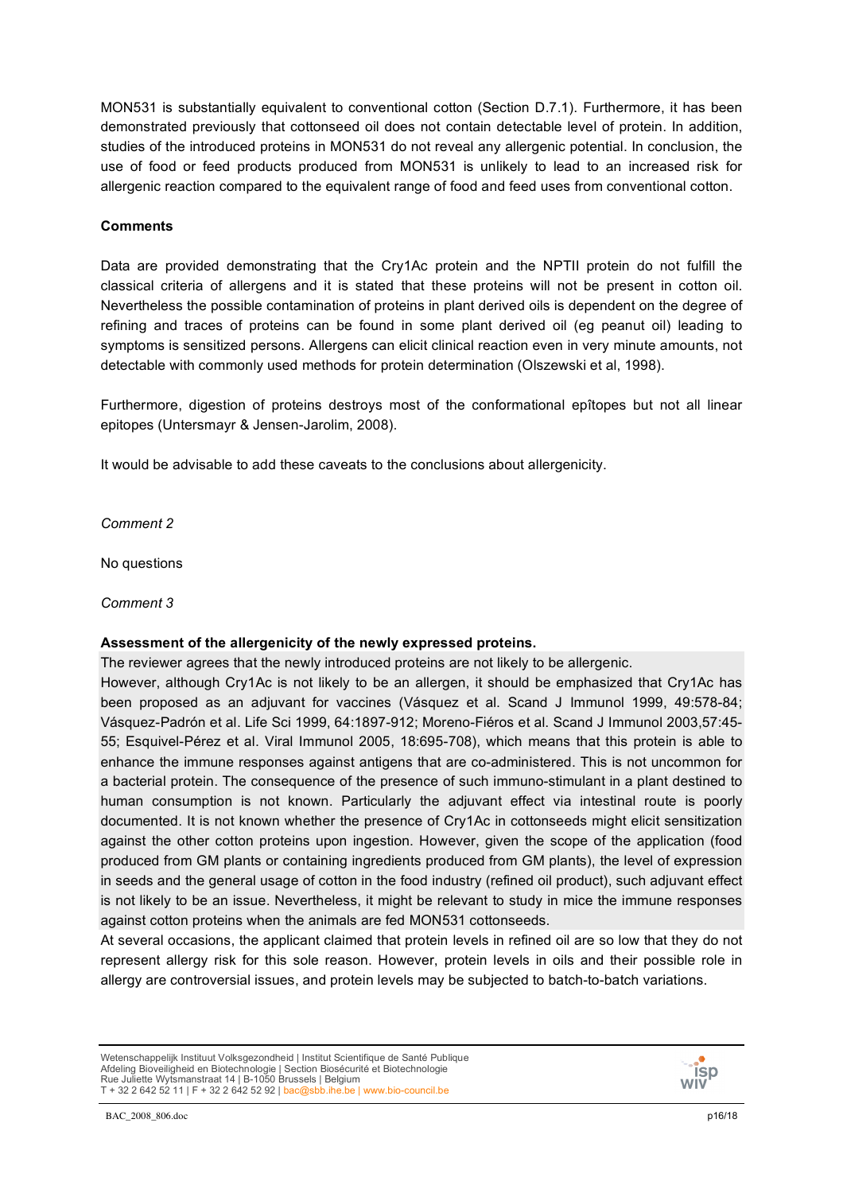MON531 is substantially equivalent to conventional cotton (Section D.7.1). Furthermore, it has been demonstrated previously that cottonseed oil does not contain detectable level of protein. In addition, studies of the introduced proteins in MON531 do not reveal any allergenic potential. In conclusion, the use of food or feed products produced from MON531 is unlikely to lead to an increased risk for allergenic reaction compared to the equivalent range of food and feed uses from conventional cotton.

## **Comments**

Data are provided demonstrating that the Cry1Ac protein and the NPTII protein do not fulfill the classical criteria of allergens and it is stated that these proteins will not be present in cotton oil. Nevertheless the possible contamination of proteins in plant derived oils is dependent on the degree of refining and traces of proteins can be found in some plant derived oil (eg peanut oil) leading to symptoms is sensitized persons. Allergens can elicit clinical reaction even in very minute amounts, not detectable with commonly used methods for protein determination (Olszewski et al, 1998).

Furthermore, digestion of proteins destroys most of the conformational epîtopes but not all linear epitopes (Untersmayr & Jensen-Jarolim, 2008).

It would be advisable to add these caveats to the conclusions about allergenicity.

*Comment 2*

No questions

*Comment 3*

# **Assessment of the allergenicity of the newly expressed proteins.**

The reviewer agrees that the newly introduced proteins are not likely to be allergenic.

However, although Cry1Ac is not likely to be an allergen, it should be emphasized that Cry1Ac has been proposed as an adjuvant for vaccines (Vásquez et al. Scand J Immunol 1999, 49:578-84; Vásquez-Padrón et al. Life Sci 1999, 64:1897-912; Moreno-Fiéros et al. Scand J Immunol 2003,57:45- 55; Esquivel-Pérez et al. Viral Immunol 2005, 18:695-708), which means that this protein is able to enhance the immune responses against antigens that are co-administered. This is not uncommon for a bacterial protein. The consequence of the presence of such immuno-stimulant in a plant destined to human consumption is not known. Particularly the adjuvant effect via intestinal route is poorly documented. It is not known whether the presence of Cry1Ac in cottonseeds might elicit sensitization against the other cotton proteins upon ingestion. However, given the scope of the application (food produced from GM plants or containing ingredients produced from GM plants), the level of expression in seeds and the general usage of cotton in the food industry (refined oil product), such adjuvant effect is not likely to be an issue. Nevertheless, it might be relevant to study in mice the immune responses against cotton proteins when the animals are fed MON531 cottonseeds.

At several occasions, the applicant claimed that protein levels in refined oil are so low that they do not represent allergy risk for this sole reason. However, protein levels in oils and their possible role in allergy are controversial issues, and protein levels may be subjected to batch-to-batch variations.

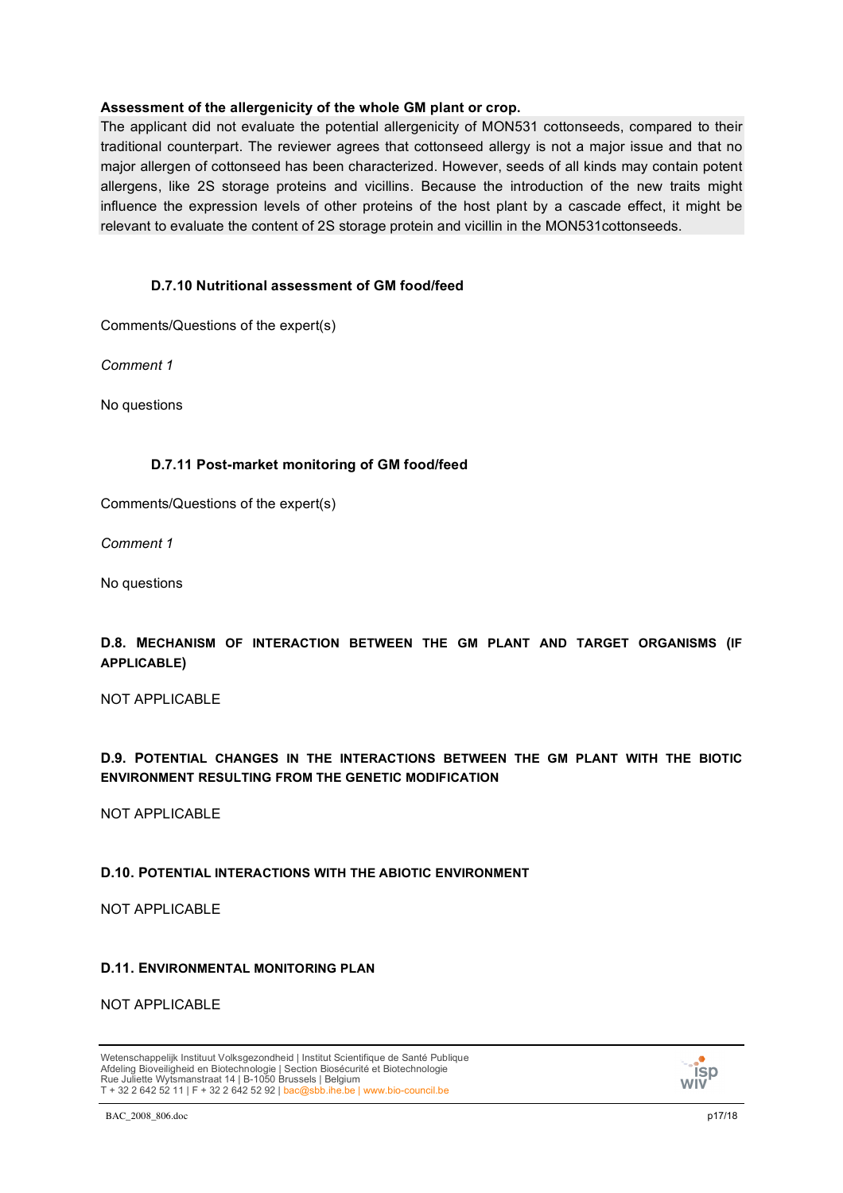## **Assessment of the allergenicity of the whole GM plant or crop.**

The applicant did not evaluate the potential allergenicity of MON531 cottonseeds, compared to their traditional counterpart. The reviewer agrees that cottonseed allergy is not a major issue and that no major allergen of cottonseed has been characterized. However, seeds of all kinds may contain potent allergens, like 2S storage proteins and vicillins. Because the introduction of the new traits might influence the expression levels of other proteins of the host plant by a cascade effect, it might be relevant to evaluate the content of 2S storage protein and vicillin in the MON531cottonseeds.

# **D.7.10 Nutritional assessment of GM food/feed**

Comments/Questions of the expert(s)

*Comment 1*

No questions

## **D.7.11 Post-market monitoring of GM food/feed**

Comments/Questions of the expert(s)

*Comment 1*

No questions

# **D.8. MECHANISM OF INTERACTION BETWEEN THE GM PLANT AND TARGET ORGANISMS (IF APPLICABLE)**

NOT APPLICABLE

# **D.9. POTENTIAL CHANGES IN THE INTERACTIONS BETWEEN THE GM PLANT WITH THE BIOTIC ENVIRONMENT RESULTING FROM THE GENETIC MODIFICATION**

NOT APPLICABLE

## **D.10. POTENTIAL INTERACTIONS WITH THE ABIOTIC ENVIRONMENT**

NOT APPLICABLE

## **D.11. ENVIRONMENTAL MONITORING PLAN**

NOT APPLICABLE